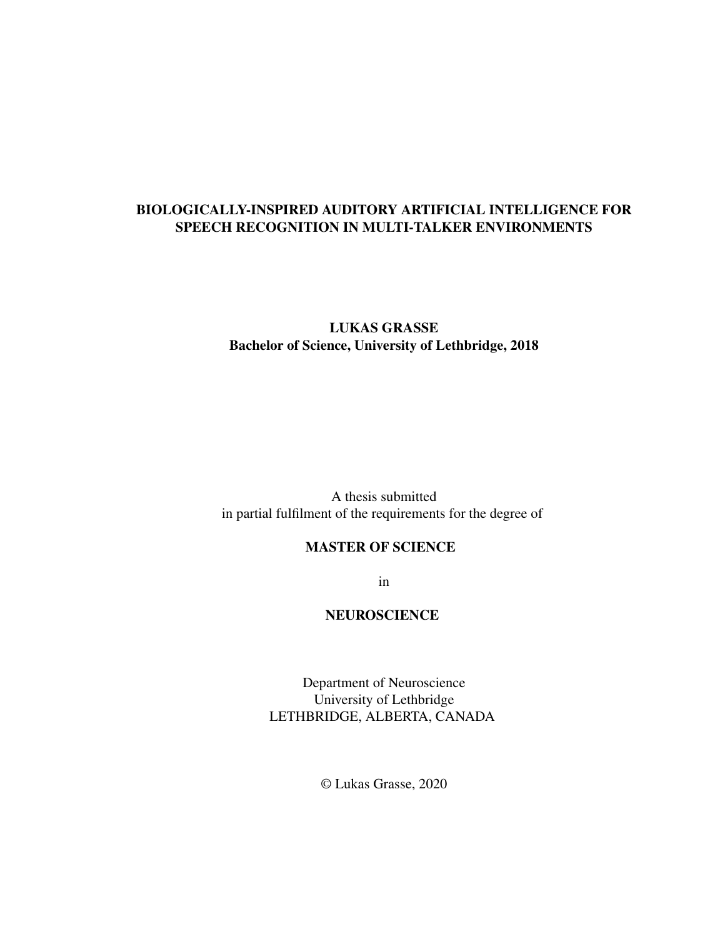## BIOLOGICALLY-INSPIRED AUDITORY ARTIFICIAL INTELLIGENCE FOR SPEECH RECOGNITION IN MULTI-TALKER ENVIRONMENTS

## LUKAS GRASSE Bachelor of Science, University of Lethbridge, 2018

A thesis submitted in partial fulfilment of the requirements for the degree of

## MASTER OF SCIENCE

in

### NEUROSCIENCE

Department of Neuroscience University of Lethbridge LETHBRIDGE, ALBERTA, CANADA

© Lukas Grasse, 2020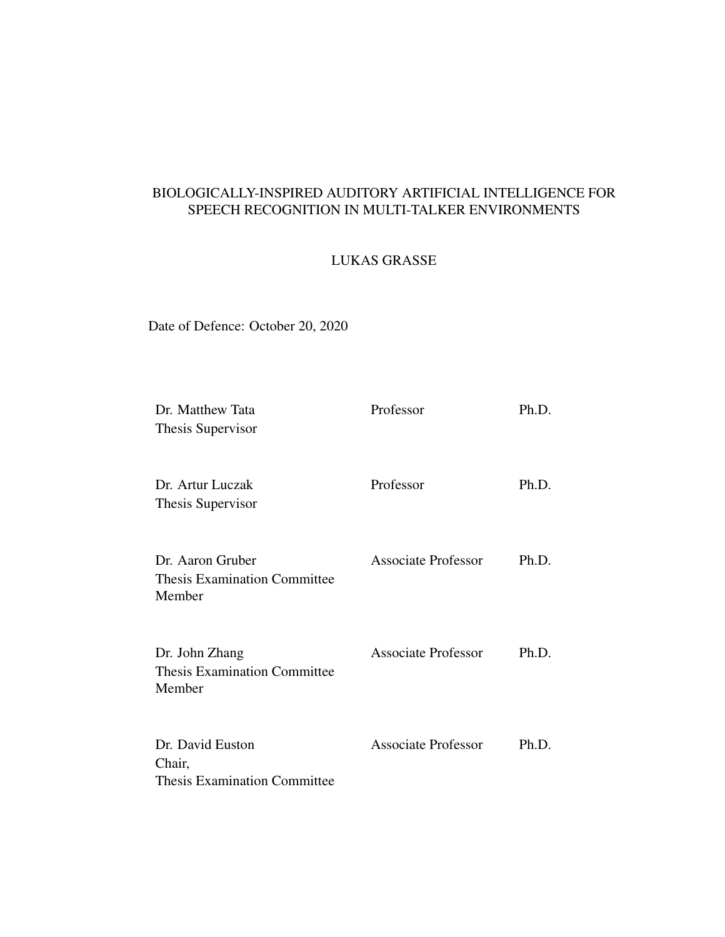## BIOLOGICALLY-INSPIRED AUDITORY ARTIFICIAL INTELLIGENCE FOR SPEECH RECOGNITION IN MULTI-TALKER ENVIRONMENTS

## LUKAS GRASSE

Date of Defence: October 20, 2020

| Dr. Matthew Tata<br>Thesis Supervisor                             | Professor                  | Ph.D. |
|-------------------------------------------------------------------|----------------------------|-------|
| Dr. Artur Luczak<br>Thesis Supervisor                             | Professor                  | Ph.D. |
| Dr. Aaron Gruber<br><b>Thesis Examination Committee</b><br>Member | <b>Associate Professor</b> | Ph.D. |
| Dr. John Zhang<br><b>Thesis Examination Committee</b><br>Member   | <b>Associate Professor</b> | Ph.D. |
| Dr. David Euston<br>Chair,<br><b>Thesis Examination Committee</b> | <b>Associate Professor</b> | Ph.D. |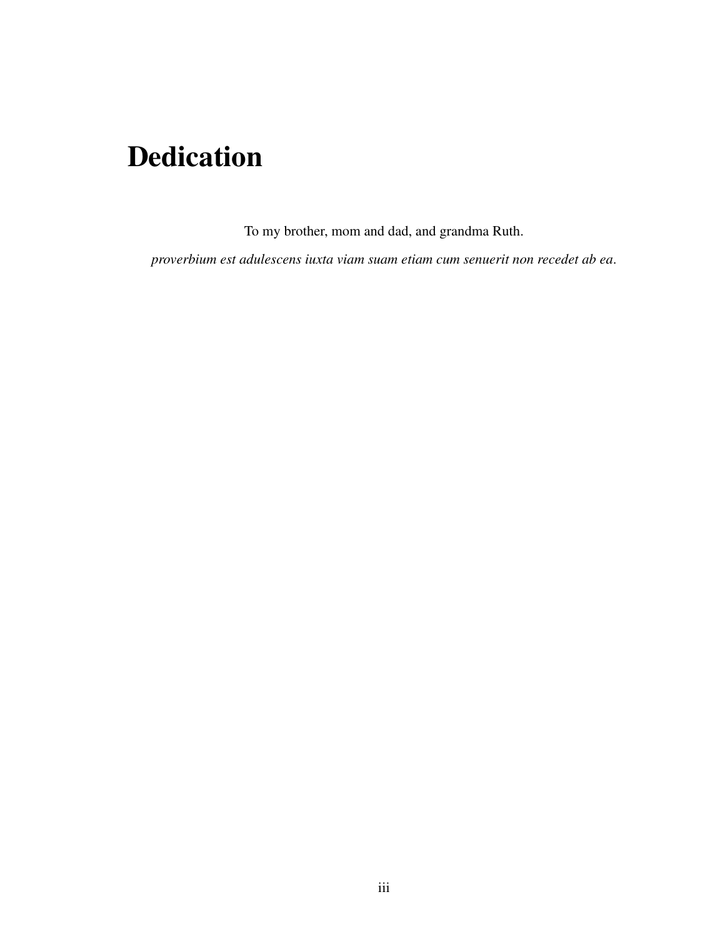# Dedication

To my brother, mom and dad, and grandma Ruth.

*proverbium est adulescens iuxta viam suam etiam cum senuerit non recedet ab ea*.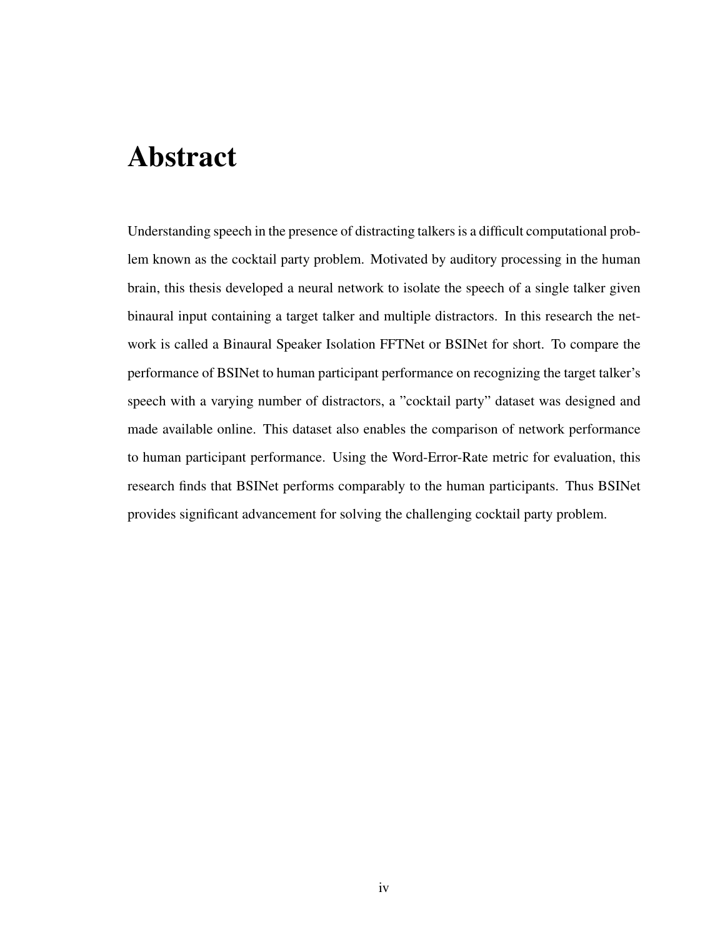## Abstract

Understanding speech in the presence of distracting talkers is a difficult computational problem known as the cocktail party problem. Motivated by auditory processing in the human brain, this thesis developed a neural network to isolate the speech of a single talker given binaural input containing a target talker and multiple distractors. In this research the network is called a Binaural Speaker Isolation FFTNet or BSINet for short. To compare the performance of BSINet to human participant performance on recognizing the target talker's speech with a varying number of distractors, a "cocktail party" dataset was designed and made available online. This dataset also enables the comparison of network performance to human participant performance. Using the Word-Error-Rate metric for evaluation, this research finds that BSINet performs comparably to the human participants. Thus BSINet provides significant advancement for solving the challenging cocktail party problem.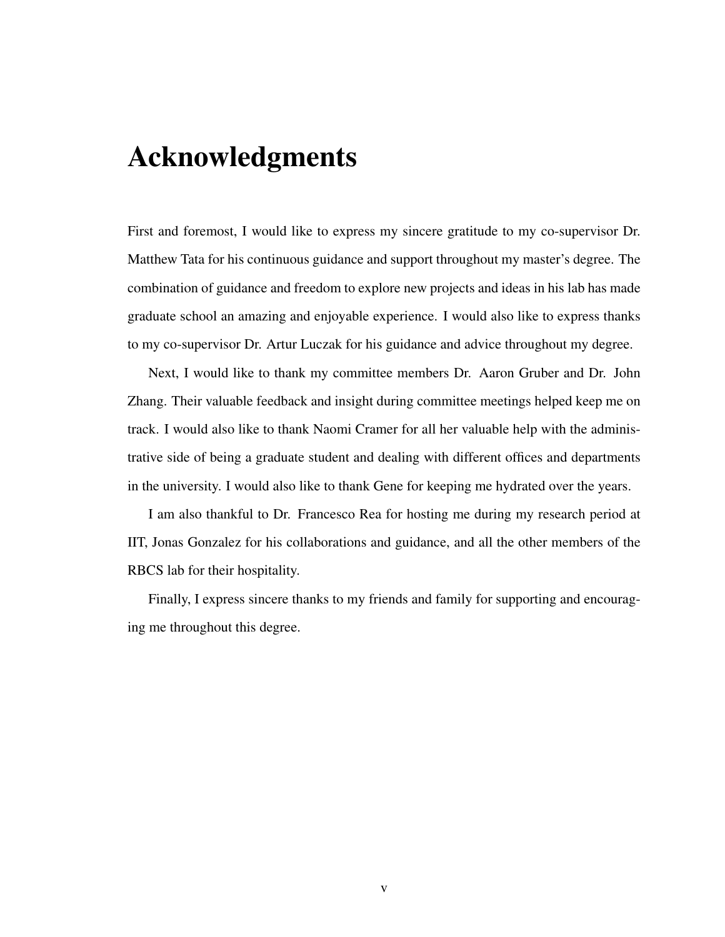## Acknowledgments

First and foremost, I would like to express my sincere gratitude to my co-supervisor Dr. Matthew Tata for his continuous guidance and support throughout my master's degree. The combination of guidance and freedom to explore new projects and ideas in his lab has made graduate school an amazing and enjoyable experience. I would also like to express thanks to my co-supervisor Dr. Artur Luczak for his guidance and advice throughout my degree.

Next, I would like to thank my committee members Dr. Aaron Gruber and Dr. John Zhang. Their valuable feedback and insight during committee meetings helped keep me on track. I would also like to thank Naomi Cramer for all her valuable help with the administrative side of being a graduate student and dealing with different offices and departments in the university. I would also like to thank Gene for keeping me hydrated over the years.

I am also thankful to Dr. Francesco Rea for hosting me during my research period at IIT, Jonas Gonzalez for his collaborations and guidance, and all the other members of the RBCS lab for their hospitality.

Finally, I express sincere thanks to my friends and family for supporting and encouraging me throughout this degree.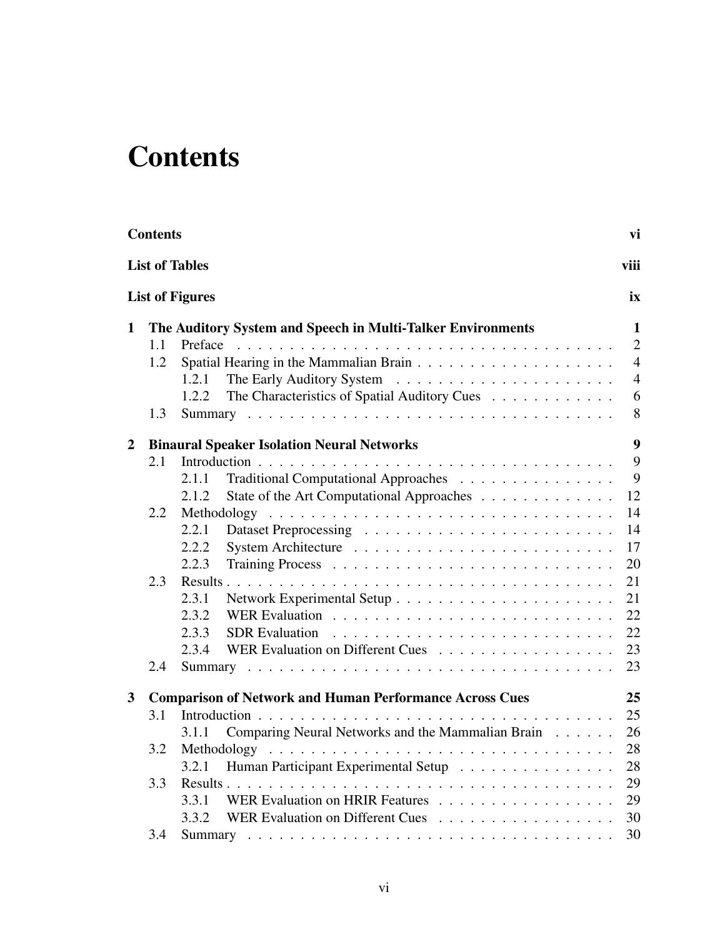# **Contents**

|                         | <b>Contents</b><br>vi |                                                                |                |  |  |
|-------------------------|-----------------------|----------------------------------------------------------------|----------------|--|--|
|                         |                       | <b>List of Tables</b>                                          | viii           |  |  |
|                         |                       | <b>List of Figures</b>                                         | ix             |  |  |
| $\mathbf{1}$            |                       | The Auditory System and Speech in Multi-Talker Environments    | $\mathbf{1}$   |  |  |
|                         | 1.1                   |                                                                | $\overline{2}$ |  |  |
|                         | 1.2                   |                                                                | $\overline{4}$ |  |  |
|                         |                       | 1.2.1                                                          | $\overline{4}$ |  |  |
|                         |                       | The Characteristics of Spatial Auditory Cues<br>1.2.2          | 6              |  |  |
|                         | 1.3                   |                                                                | 8              |  |  |
| $\overline{2}$          |                       | <b>Binaural Speaker Isolation Neural Networks</b>              | 9              |  |  |
|                         | 2.1                   |                                                                | 9              |  |  |
|                         |                       | Traditional Computational Approaches<br>2.1.1                  | 9              |  |  |
|                         |                       | State of the Art Computational Approaches<br>2.1.2             | 12             |  |  |
|                         | 2.2                   |                                                                | 14             |  |  |
|                         |                       | 2.2.1                                                          | 14             |  |  |
|                         |                       | 2.2.2                                                          | 17             |  |  |
|                         |                       | 2.2.3                                                          | 20             |  |  |
|                         | 2.3                   |                                                                | 21             |  |  |
|                         |                       | 2.3.1                                                          | 21             |  |  |
|                         |                       | 2.3.2                                                          | 22             |  |  |
|                         |                       | 2.3.3                                                          | 22             |  |  |
|                         |                       | 2.3.4                                                          | 23             |  |  |
|                         | 2.4                   |                                                                | 23             |  |  |
| $\overline{\mathbf{3}}$ |                       | <b>Comparison of Network and Human Performance Across Cues</b> | 25             |  |  |
|                         | 3.1                   |                                                                | 25             |  |  |
|                         |                       | Comparing Neural Networks and the Mammalian Brain<br>3.1.1     | 26             |  |  |
|                         | 3.2                   |                                                                | 28             |  |  |
|                         |                       | Human Participant Experimental Setup<br>3.2.1                  | 28             |  |  |
|                         | 3.3                   |                                                                | 29             |  |  |
|                         |                       | 3.3.1 WER Evaluation on HRIR Features                          | 29             |  |  |
|                         |                       | 3.3.2 WER Evaluation on Different Cues                         | 30             |  |  |
|                         | 3.4                   |                                                                | 30             |  |  |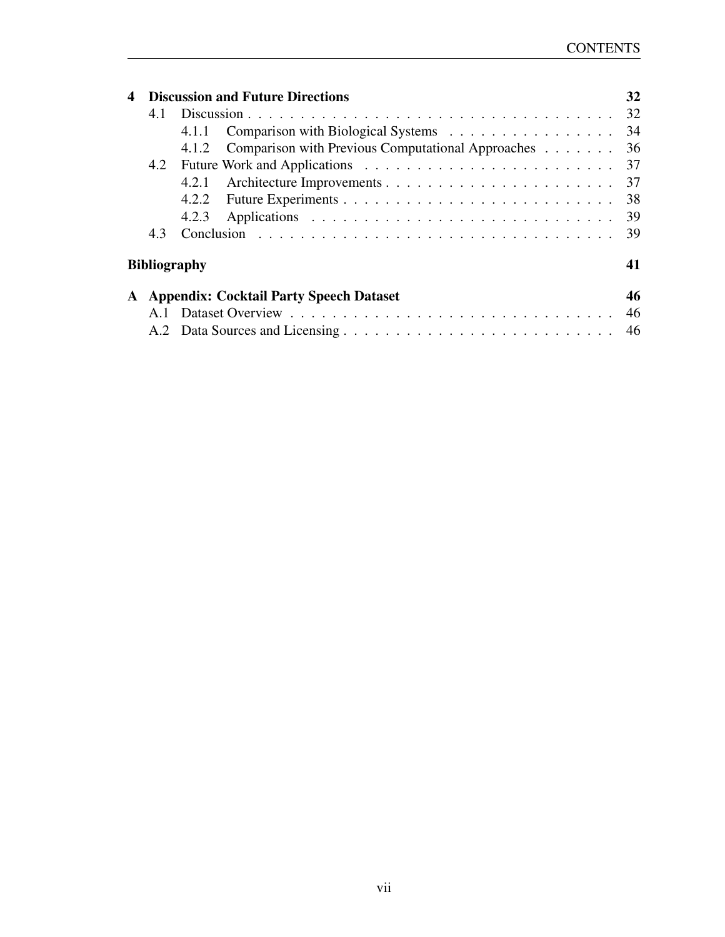|   |                     | <b>Discussion and Future Directions</b>                    | 32 |  |  |
|---|---------------------|------------------------------------------------------------|----|--|--|
|   | 4.1                 |                                                            |    |  |  |
|   |                     | Comparison with Biological Systems<br>4.1.1                | 34 |  |  |
|   |                     | Comparison with Previous Computational Approaches<br>4.1.2 | 36 |  |  |
|   |                     |                                                            | 37 |  |  |
|   |                     | 4.2.1                                                      | 37 |  |  |
|   |                     | 4.2.2                                                      | 38 |  |  |
|   |                     | 4.2.3                                                      | 39 |  |  |
|   | 4.3                 |                                                            | 39 |  |  |
|   | <b>Bibliography</b> |                                                            |    |  |  |
| A |                     | <b>Appendix: Cocktail Party Speech Dataset</b>             | 46 |  |  |
|   |                     |                                                            | 46 |  |  |
|   |                     |                                                            | 46 |  |  |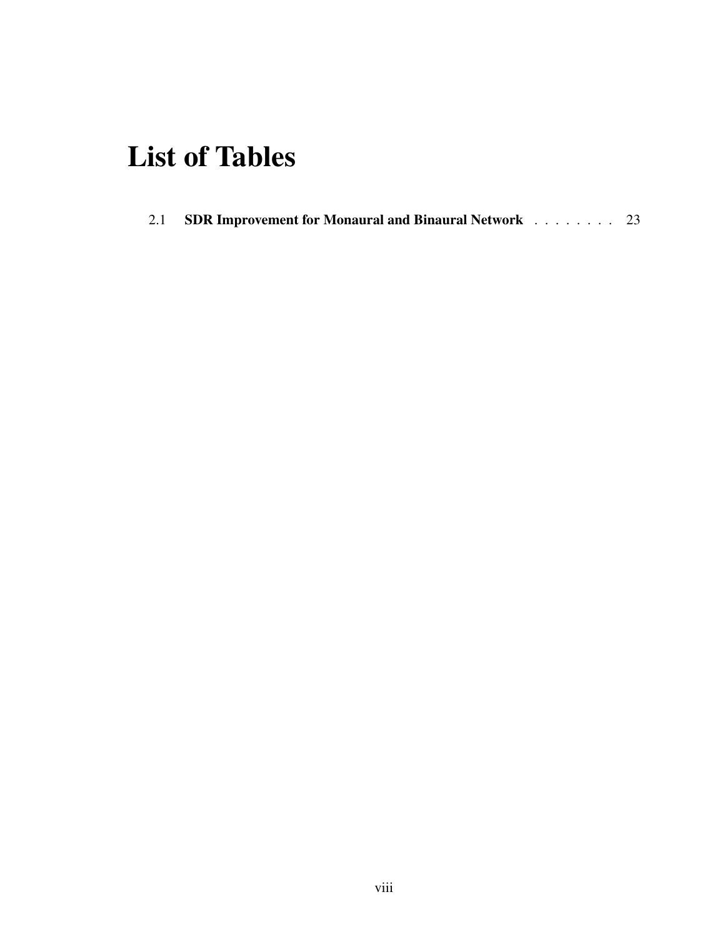# List of Tables

2.1 SDR Improvement for Monaural and Binaural Network . . . . . . . . 23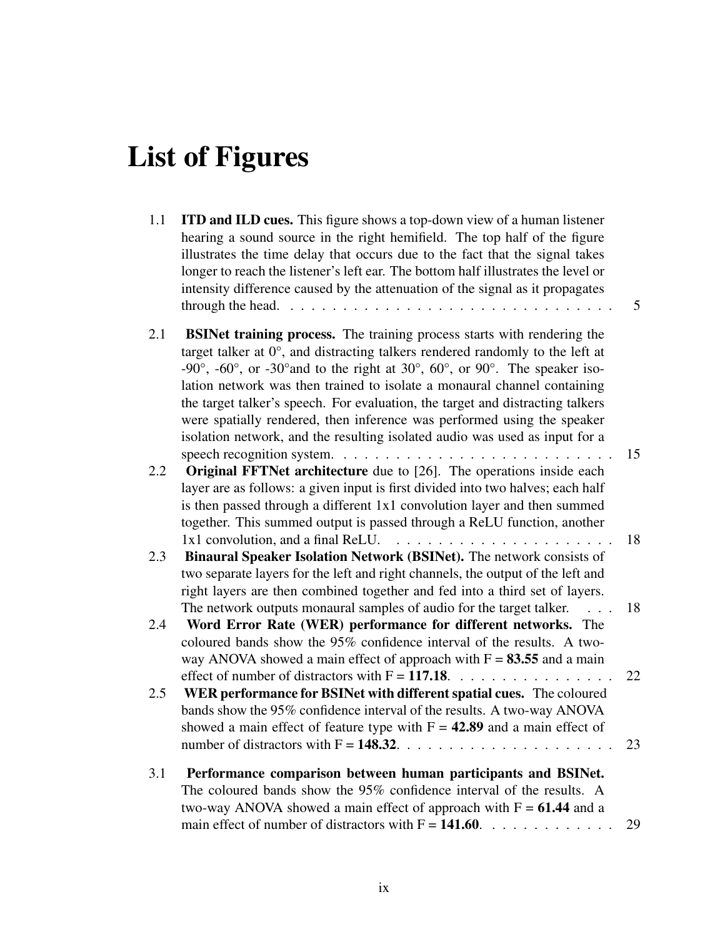# List of Figures

| 1.1 | <b>ITD and ILD cues.</b> This figure shows a top-down view of a human listener<br>hearing a sound source in the right hemifield. The top half of the figure<br>illustrates the time delay that occurs due to the fact that the signal takes<br>longer to reach the listener's left ear. The bottom half illustrates the level or<br>intensity difference caused by the attenuation of the signal as it propagates                                                                                                                                                                                          | 5  |
|-----|------------------------------------------------------------------------------------------------------------------------------------------------------------------------------------------------------------------------------------------------------------------------------------------------------------------------------------------------------------------------------------------------------------------------------------------------------------------------------------------------------------------------------------------------------------------------------------------------------------|----|
| 2.1 | <b>BSINet training process.</b> The training process starts with rendering the<br>target talker at $0^\circ$ , and distracting talkers rendered randomly to the left at<br>$-90^{\circ}$ , $-60^{\circ}$ , or $-30^{\circ}$ and to the right at 30°, 60°, or 90°. The speaker iso-<br>lation network was then trained to isolate a monaural channel containing<br>the target talker's speech. For evaluation, the target and distracting talkers<br>were spatially rendered, then inference was performed using the speaker<br>isolation network, and the resulting isolated audio was used as input for a |    |
|     |                                                                                                                                                                                                                                                                                                                                                                                                                                                                                                                                                                                                            | 15 |
| 2.2 | <b>Original FFTNet architecture</b> due to [26]. The operations inside each                                                                                                                                                                                                                                                                                                                                                                                                                                                                                                                                |    |
|     | layer are as follows: a given input is first divided into two halves; each half                                                                                                                                                                                                                                                                                                                                                                                                                                                                                                                            |    |
|     | is then passed through a different 1x1 convolution layer and then summed                                                                                                                                                                                                                                                                                                                                                                                                                                                                                                                                   |    |
|     | together. This summed output is passed through a ReLU function, another                                                                                                                                                                                                                                                                                                                                                                                                                                                                                                                                    |    |
|     | $1x1$ convolution, and a final ReLU. $\ldots \ldots \ldots \ldots \ldots \ldots \ldots$                                                                                                                                                                                                                                                                                                                                                                                                                                                                                                                    | 18 |
| 2.3 | Binaural Speaker Isolation Network (BSINet). The network consists of                                                                                                                                                                                                                                                                                                                                                                                                                                                                                                                                       |    |
|     | two separate layers for the left and right channels, the output of the left and                                                                                                                                                                                                                                                                                                                                                                                                                                                                                                                            |    |
|     | right layers are then combined together and fed into a third set of layers.                                                                                                                                                                                                                                                                                                                                                                                                                                                                                                                                |    |
|     | The network outputs monaural samples of audio for the target talker. $\ldots$                                                                                                                                                                                                                                                                                                                                                                                                                                                                                                                              | 18 |
| 2.4 | Word Error Rate (WER) performance for different networks. The                                                                                                                                                                                                                                                                                                                                                                                                                                                                                                                                              |    |
|     | coloured bands show the 95% confidence interval of the results. A two-                                                                                                                                                                                                                                                                                                                                                                                                                                                                                                                                     |    |
|     | way ANOVA showed a main effect of approach with $F = 83.55$ and a main                                                                                                                                                                                                                                                                                                                                                                                                                                                                                                                                     | 22 |
| 2.5 | WER performance for BSINet with different spatial cues. The coloured                                                                                                                                                                                                                                                                                                                                                                                                                                                                                                                                       |    |
|     | bands show the 95% confidence interval of the results. A two-way ANOVA                                                                                                                                                                                                                                                                                                                                                                                                                                                                                                                                     |    |
|     | showed a main effect of feature type with $F = 42.89$ and a main effect of                                                                                                                                                                                                                                                                                                                                                                                                                                                                                                                                 |    |
|     | number of distractors with $F = 148.32$ .                                                                                                                                                                                                                                                                                                                                                                                                                                                                                                                                                                  | 23 |
| 3.1 | Performance comparison between human participants and BSINet.                                                                                                                                                                                                                                                                                                                                                                                                                                                                                                                                              |    |
|     | The coloured bands show the 95% confidence interval of the results. A                                                                                                                                                                                                                                                                                                                                                                                                                                                                                                                                      |    |
|     | two-way ANOVA showed a main effect of approach with $F = 61.44$ and a                                                                                                                                                                                                                                                                                                                                                                                                                                                                                                                                      |    |
|     | main effect of number of distractors with $F = 141.60$ .                                                                                                                                                                                                                                                                                                                                                                                                                                                                                                                                                   | 29 |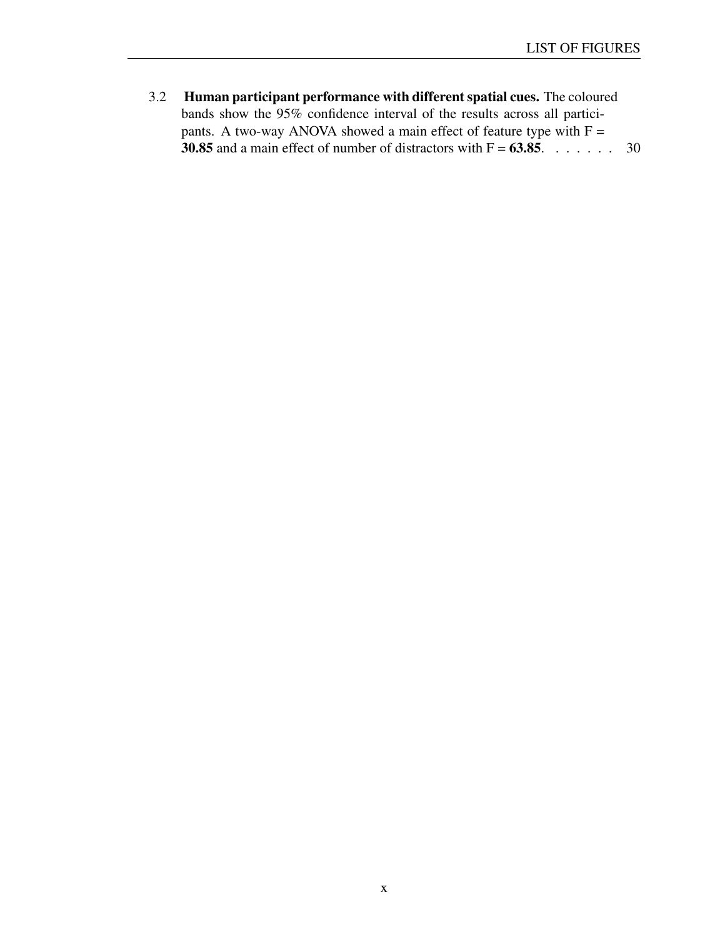3.2 Human participant performance with different spatial cues. The coloured bands show the 95% confidence interval of the results across all participants. A two-way ANOVA showed a main effect of feature type with  $F =$ 30.85 and a main effect of number of distractors with  $F = 63.85$ . . . . . . . . 30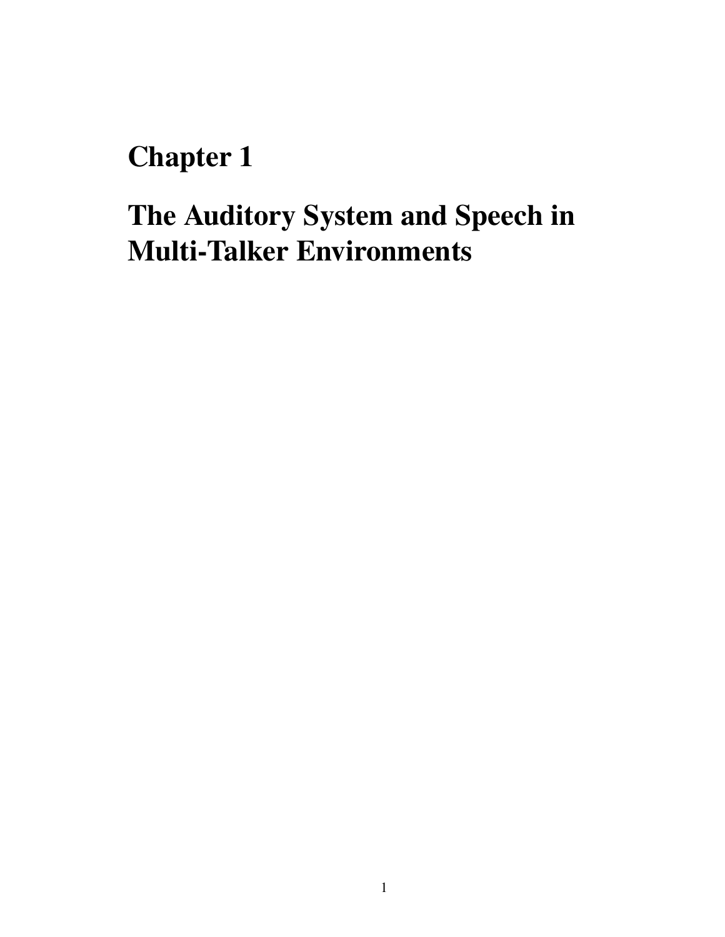# Chapter 1

# The Auditory System and Speech in Multi-Talker Environments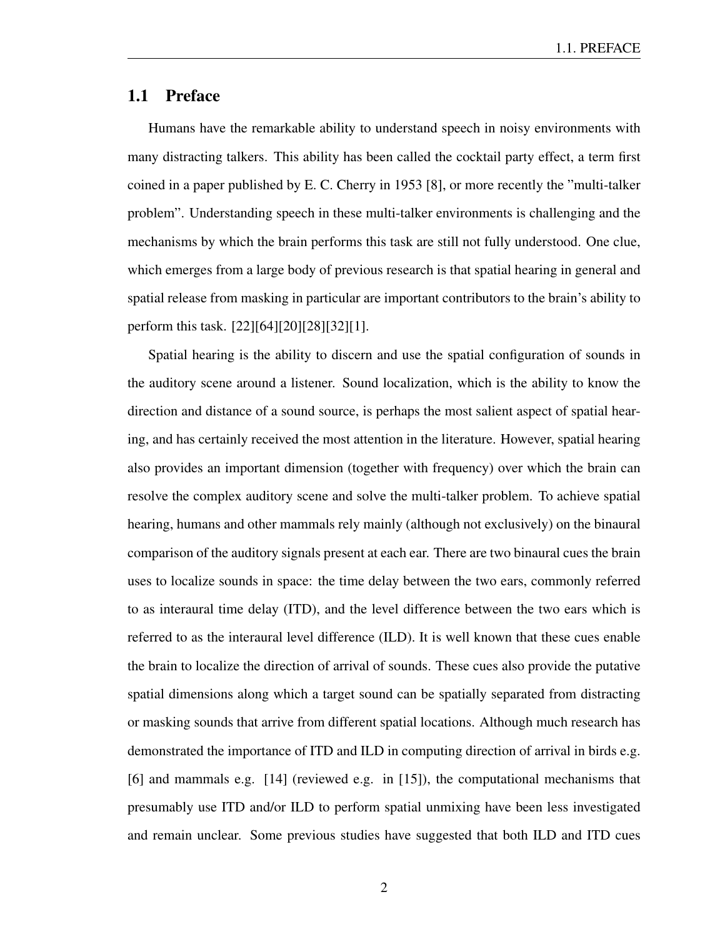## 1.1 Preface

Humans have the remarkable ability to understand speech in noisy environments with many distracting talkers. This ability has been called the cocktail party effect, a term first coined in a paper published by E. C. Cherry in 1953 [8], or more recently the "multi-talker problem". Understanding speech in these multi-talker environments is challenging and the mechanisms by which the brain performs this task are still not fully understood. One clue, which emerges from a large body of previous research is that spatial hearing in general and spatial release from masking in particular are important contributors to the brain's ability to perform this task. [22][64][20][28][32][1].

Spatial hearing is the ability to discern and use the spatial configuration of sounds in the auditory scene around a listener. Sound localization, which is the ability to know the direction and distance of a sound source, is perhaps the most salient aspect of spatial hearing, and has certainly received the most attention in the literature. However, spatial hearing also provides an important dimension (together with frequency) over which the brain can resolve the complex auditory scene and solve the multi-talker problem. To achieve spatial hearing, humans and other mammals rely mainly (although not exclusively) on the binaural comparison of the auditory signals present at each ear. There are two binaural cues the brain uses to localize sounds in space: the time delay between the two ears, commonly referred to as interaural time delay (ITD), and the level difference between the two ears which is referred to as the interaural level difference (ILD). It is well known that these cues enable the brain to localize the direction of arrival of sounds. These cues also provide the putative spatial dimensions along which a target sound can be spatially separated from distracting or masking sounds that arrive from different spatial locations. Although much research has demonstrated the importance of ITD and ILD in computing direction of arrival in birds e.g. [6] and mammals e.g. [14] (reviewed e.g. in [15]), the computational mechanisms that presumably use ITD and/or ILD to perform spatial unmixing have been less investigated and remain unclear. Some previous studies have suggested that both ILD and ITD cues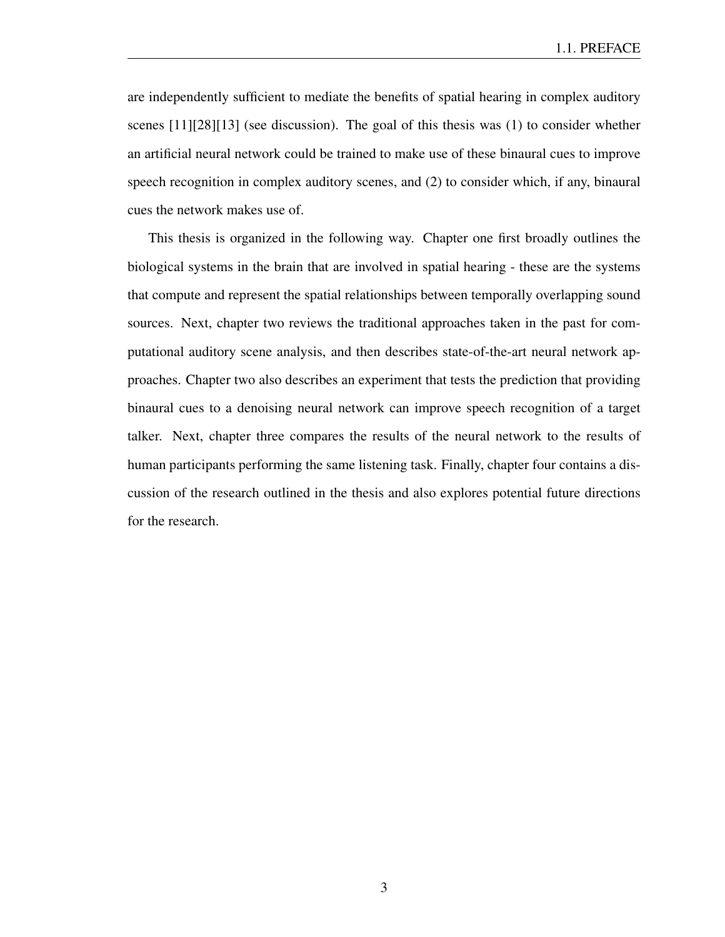are independently sufficient to mediate the benefits of spatial hearing in complex auditory scenes [11][28][13] (see discussion). The goal of this thesis was (1) to consider whether an artificial neural network could be trained to make use of these binaural cues to improve speech recognition in complex auditory scenes, and (2) to consider which, if any, binaural cues the network makes use of.

This thesis is organized in the following way. Chapter one first broadly outlines the biological systems in the brain that are involved in spatial hearing - these are the systems that compute and represent the spatial relationships between temporally overlapping sound sources. Next, chapter two reviews the traditional approaches taken in the past for computational auditory scene analysis, and then describes state-of-the-art neural network approaches. Chapter two also describes an experiment that tests the prediction that providing binaural cues to a denoising neural network can improve speech recognition of a target talker. Next, chapter three compares the results of the neural network to the results of human participants performing the same listening task. Finally, chapter four contains a discussion of the research outlined in the thesis and also explores potential future directions for the research.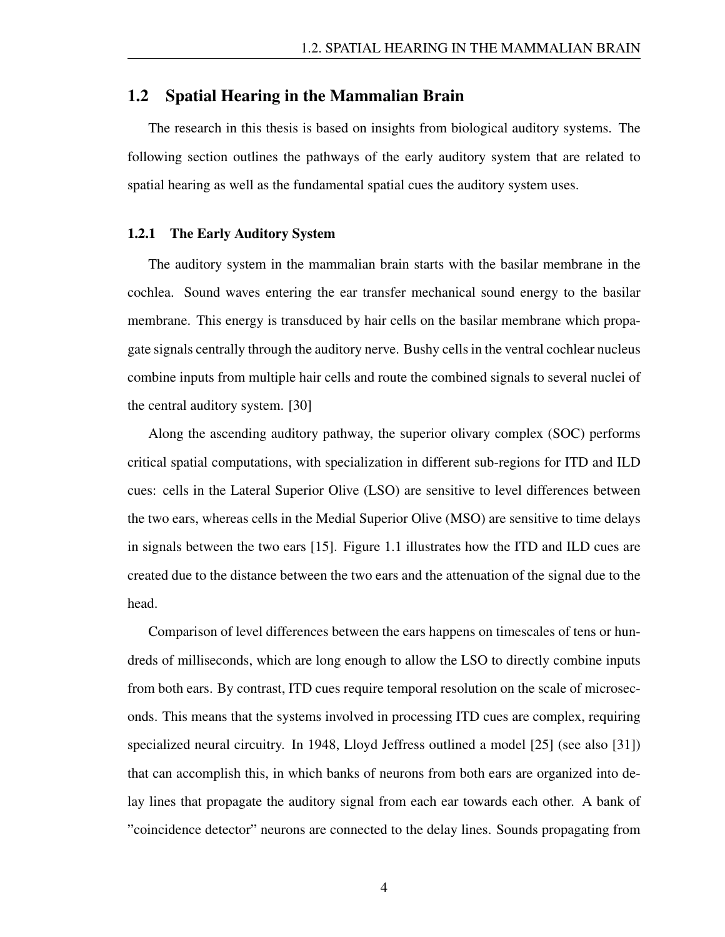## 1.2 Spatial Hearing in the Mammalian Brain

The research in this thesis is based on insights from biological auditory systems. The following section outlines the pathways of the early auditory system that are related to spatial hearing as well as the fundamental spatial cues the auditory system uses.

#### 1.2.1 The Early Auditory System

The auditory system in the mammalian brain starts with the basilar membrane in the cochlea. Sound waves entering the ear transfer mechanical sound energy to the basilar membrane. This energy is transduced by hair cells on the basilar membrane which propagate signals centrally through the auditory nerve. Bushy cells in the ventral cochlear nucleus combine inputs from multiple hair cells and route the combined signals to several nuclei of the central auditory system. [30]

Along the ascending auditory pathway, the superior olivary complex (SOC) performs critical spatial computations, with specialization in different sub-regions for ITD and ILD cues: cells in the Lateral Superior Olive (LSO) are sensitive to level differences between the two ears, whereas cells in the Medial Superior Olive (MSO) are sensitive to time delays in signals between the two ears [15]. Figure 1.1 illustrates how the ITD and ILD cues are created due to the distance between the two ears and the attenuation of the signal due to the head.

Comparison of level differences between the ears happens on timescales of tens or hundreds of milliseconds, which are long enough to allow the LSO to directly combine inputs from both ears. By contrast, ITD cues require temporal resolution on the scale of microseconds. This means that the systems involved in processing ITD cues are complex, requiring specialized neural circuitry. In 1948, Lloyd Jeffress outlined a model [25] (see also [31]) that can accomplish this, in which banks of neurons from both ears are organized into delay lines that propagate the auditory signal from each ear towards each other. A bank of "coincidence detector" neurons are connected to the delay lines. Sounds propagating from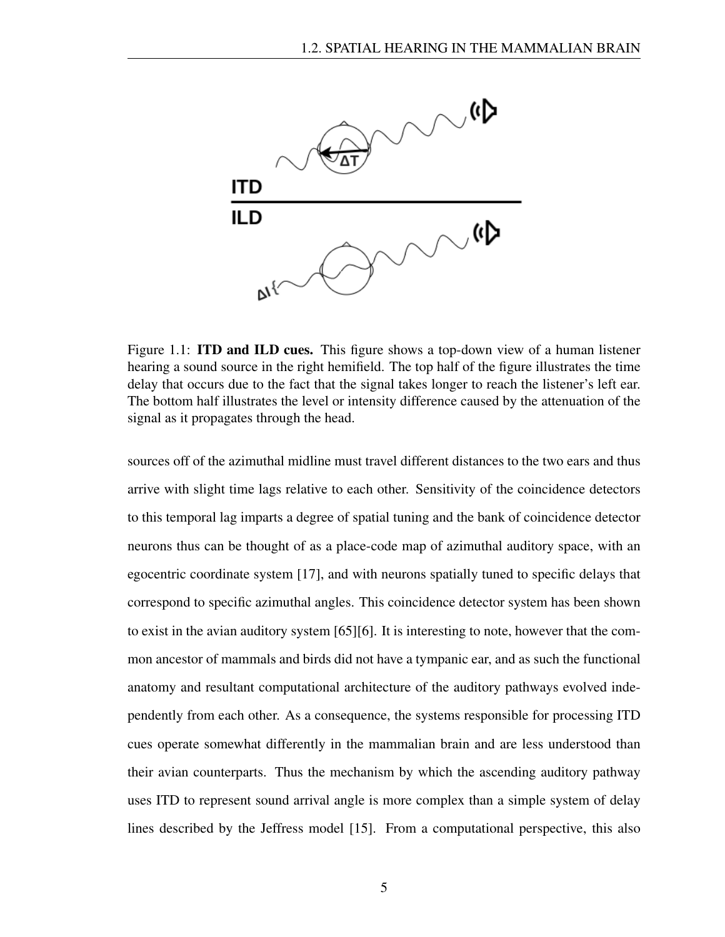

Figure 1.1: **ITD and ILD cues.** This figure shows a top-down view of a human listener hearing a sound source in the right hemifield. The top half of the figure illustrates the time delay that occurs due to the fact that the signal takes longer to reach the listener's left ear. The bottom half illustrates the level or intensity difference caused by the attenuation of the signal as it propagates through the head.

sources off of the azimuthal midline must travel different distances to the two ears and thus arrive with slight time lags relative to each other. Sensitivity of the coincidence detectors to this temporal lag imparts a degree of spatial tuning and the bank of coincidence detector neurons thus can be thought of as a place-code map of azimuthal auditory space, with an egocentric coordinate system [17], and with neurons spatially tuned to specific delays that correspond to specific azimuthal angles. This coincidence detector system has been shown to exist in the avian auditory system [65][6]. It is interesting to note, however that the common ancestor of mammals and birds did not have a tympanic ear, and as such the functional anatomy and resultant computational architecture of the auditory pathways evolved independently from each other. As a consequence, the systems responsible for processing ITD cues operate somewhat differently in the mammalian brain and are less understood than their avian counterparts. Thus the mechanism by which the ascending auditory pathway uses ITD to represent sound arrival angle is more complex than a simple system of delay lines described by the Jeffress model [15]. From a computational perspective, this also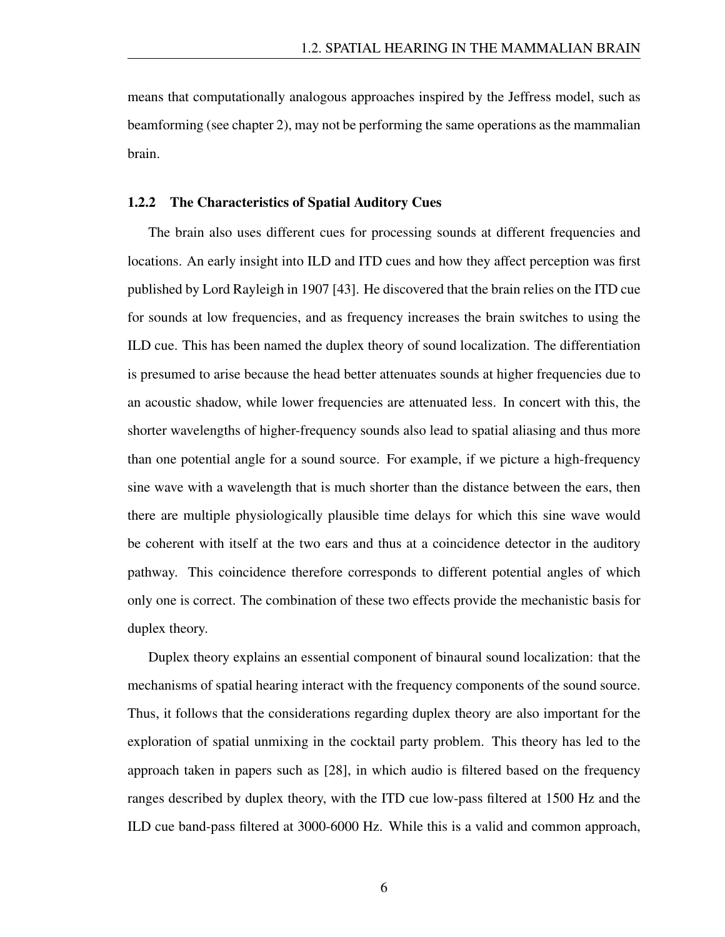means that computationally analogous approaches inspired by the Jeffress model, such as beamforming (see chapter 2), may not be performing the same operations as the mammalian brain.

#### 1.2.2 The Characteristics of Spatial Auditory Cues

The brain also uses different cues for processing sounds at different frequencies and locations. An early insight into ILD and ITD cues and how they affect perception was first published by Lord Rayleigh in 1907 [43]. He discovered that the brain relies on the ITD cue for sounds at low frequencies, and as frequency increases the brain switches to using the ILD cue. This has been named the duplex theory of sound localization. The differentiation is presumed to arise because the head better attenuates sounds at higher frequencies due to an acoustic shadow, while lower frequencies are attenuated less. In concert with this, the shorter wavelengths of higher-frequency sounds also lead to spatial aliasing and thus more than one potential angle for a sound source. For example, if we picture a high-frequency sine wave with a wavelength that is much shorter than the distance between the ears, then there are multiple physiologically plausible time delays for which this sine wave would be coherent with itself at the two ears and thus at a coincidence detector in the auditory pathway. This coincidence therefore corresponds to different potential angles of which only one is correct. The combination of these two effects provide the mechanistic basis for duplex theory.

Duplex theory explains an essential component of binaural sound localization: that the mechanisms of spatial hearing interact with the frequency components of the sound source. Thus, it follows that the considerations regarding duplex theory are also important for the exploration of spatial unmixing in the cocktail party problem. This theory has led to the approach taken in papers such as [28], in which audio is filtered based on the frequency ranges described by duplex theory, with the ITD cue low-pass filtered at 1500 Hz and the ILD cue band-pass filtered at 3000-6000 Hz. While this is a valid and common approach,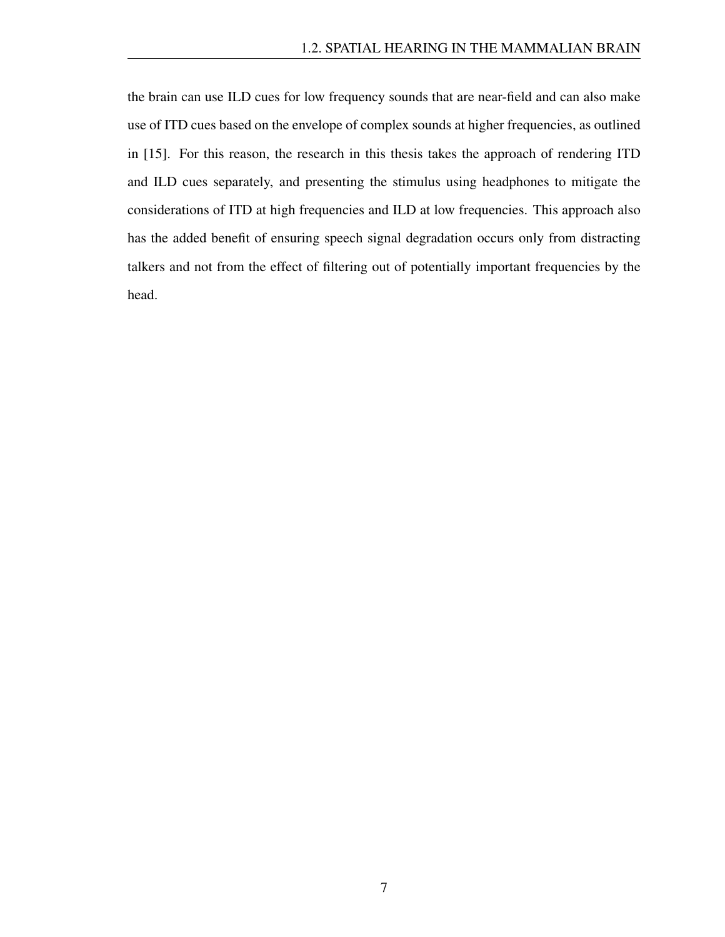the brain can use ILD cues for low frequency sounds that are near-field and can also make use of ITD cues based on the envelope of complex sounds at higher frequencies, as outlined in [15]. For this reason, the research in this thesis takes the approach of rendering ITD and ILD cues separately, and presenting the stimulus using headphones to mitigate the considerations of ITD at high frequencies and ILD at low frequencies. This approach also has the added benefit of ensuring speech signal degradation occurs only from distracting talkers and not from the effect of filtering out of potentially important frequencies by the head.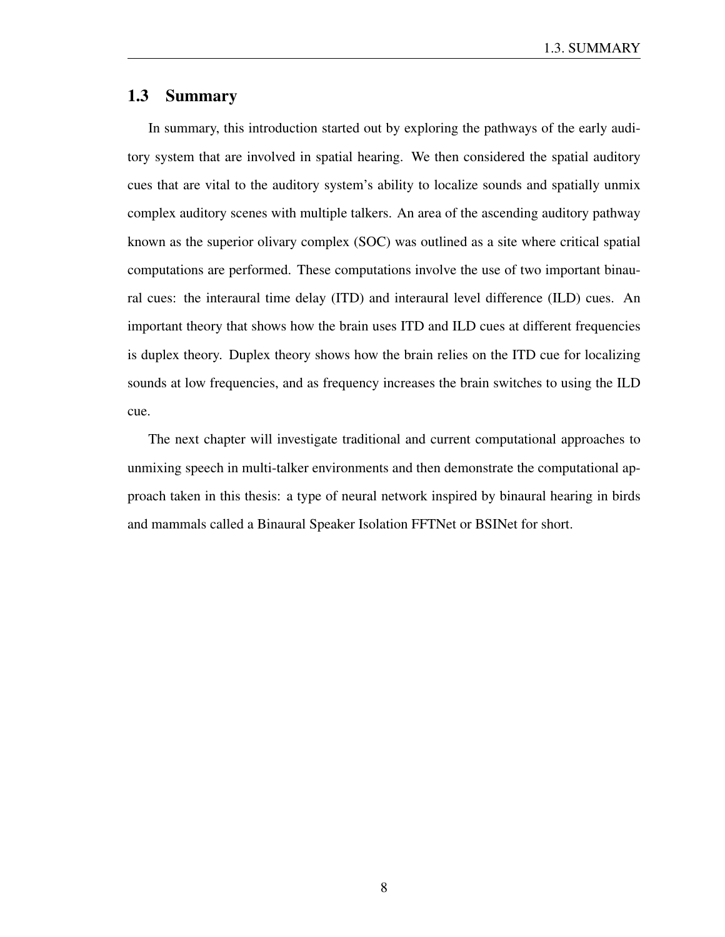## 1.3 Summary

In summary, this introduction started out by exploring the pathways of the early auditory system that are involved in spatial hearing. We then considered the spatial auditory cues that are vital to the auditory system's ability to localize sounds and spatially unmix complex auditory scenes with multiple talkers. An area of the ascending auditory pathway known as the superior olivary complex (SOC) was outlined as a site where critical spatial computations are performed. These computations involve the use of two important binaural cues: the interaural time delay (ITD) and interaural level difference (ILD) cues. An important theory that shows how the brain uses ITD and ILD cues at different frequencies is duplex theory. Duplex theory shows how the brain relies on the ITD cue for localizing sounds at low frequencies, and as frequency increases the brain switches to using the ILD cue.

The next chapter will investigate traditional and current computational approaches to unmixing speech in multi-talker environments and then demonstrate the computational approach taken in this thesis: a type of neural network inspired by binaural hearing in birds and mammals called a Binaural Speaker Isolation FFTNet or BSINet for short.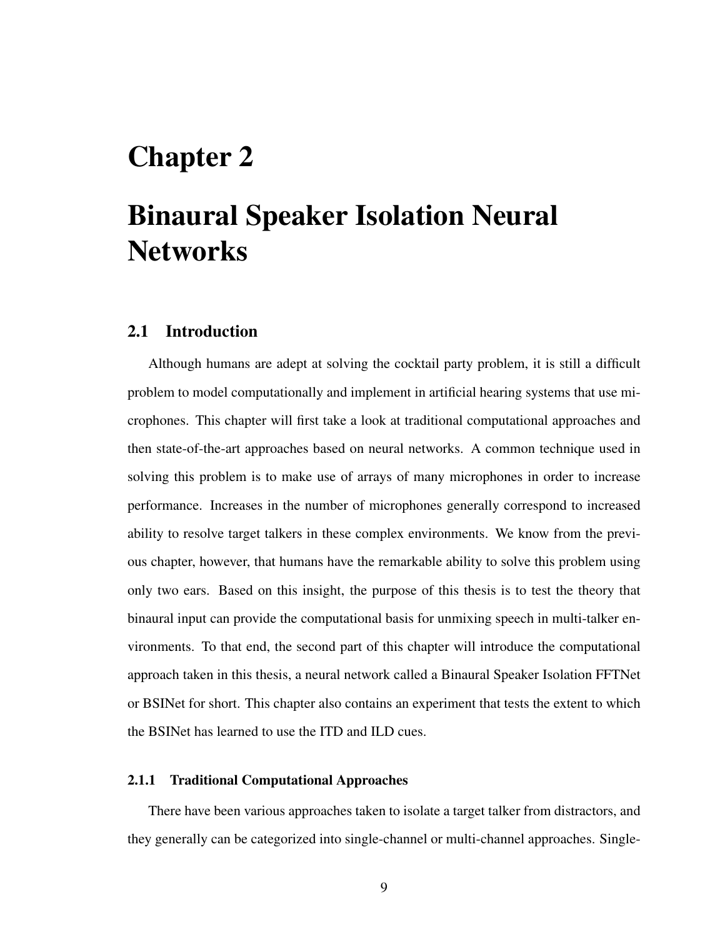## Chapter 2

## Binaural Speaker Isolation Neural **Networks**

## 2.1 Introduction

Although humans are adept at solving the cocktail party problem, it is still a difficult problem to model computationally and implement in artificial hearing systems that use microphones. This chapter will first take a look at traditional computational approaches and then state-of-the-art approaches based on neural networks. A common technique used in solving this problem is to make use of arrays of many microphones in order to increase performance. Increases in the number of microphones generally correspond to increased ability to resolve target talkers in these complex environments. We know from the previous chapter, however, that humans have the remarkable ability to solve this problem using only two ears. Based on this insight, the purpose of this thesis is to test the theory that binaural input can provide the computational basis for unmixing speech in multi-talker environments. To that end, the second part of this chapter will introduce the computational approach taken in this thesis, a neural network called a Binaural Speaker Isolation FFTNet or BSINet for short. This chapter also contains an experiment that tests the extent to which the BSINet has learned to use the ITD and ILD cues.

#### 2.1.1 Traditional Computational Approaches

There have been various approaches taken to isolate a target talker from distractors, and they generally can be categorized into single-channel or multi-channel approaches. Single-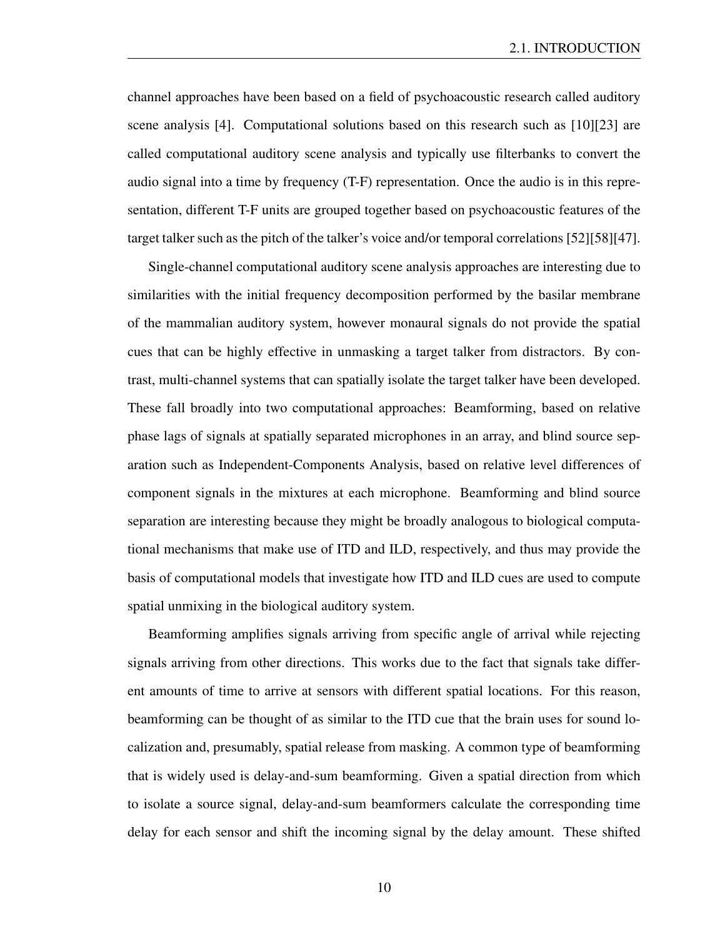channel approaches have been based on a field of psychoacoustic research called auditory scene analysis [4]. Computational solutions based on this research such as [10][23] are called computational auditory scene analysis and typically use filterbanks to convert the audio signal into a time by frequency (T-F) representation. Once the audio is in this representation, different T-F units are grouped together based on psychoacoustic features of the target talker such as the pitch of the talker's voice and/or temporal correlations [52][58][47].

Single-channel computational auditory scene analysis approaches are interesting due to similarities with the initial frequency decomposition performed by the basilar membrane of the mammalian auditory system, however monaural signals do not provide the spatial cues that can be highly effective in unmasking a target talker from distractors. By contrast, multi-channel systems that can spatially isolate the target talker have been developed. These fall broadly into two computational approaches: Beamforming, based on relative phase lags of signals at spatially separated microphones in an array, and blind source separation such as Independent-Components Analysis, based on relative level differences of component signals in the mixtures at each microphone. Beamforming and blind source separation are interesting because they might be broadly analogous to biological computational mechanisms that make use of ITD and ILD, respectively, and thus may provide the basis of computational models that investigate how ITD and ILD cues are used to compute spatial unmixing in the biological auditory system.

Beamforming amplifies signals arriving from specific angle of arrival while rejecting signals arriving from other directions. This works due to the fact that signals take different amounts of time to arrive at sensors with different spatial locations. For this reason, beamforming can be thought of as similar to the ITD cue that the brain uses for sound localization and, presumably, spatial release from masking. A common type of beamforming that is widely used is delay-and-sum beamforming. Given a spatial direction from which to isolate a source signal, delay-and-sum beamformers calculate the corresponding time delay for each sensor and shift the incoming signal by the delay amount. These shifted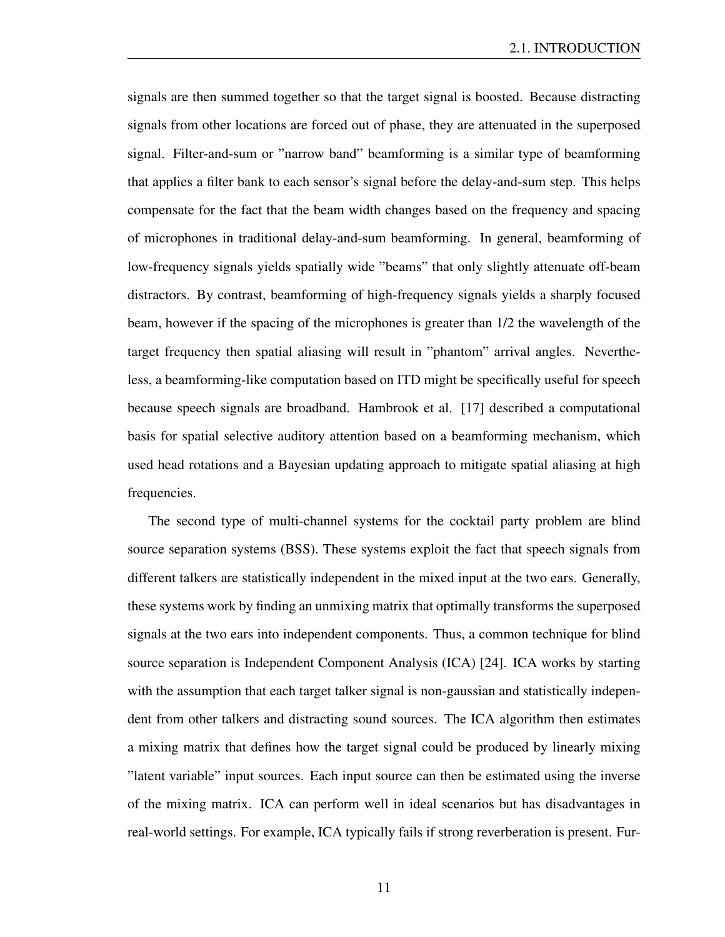signals are then summed together so that the target signal is boosted. Because distracting signals from other locations are forced out of phase, they are attenuated in the superposed signal. Filter-and-sum or "narrow band" beamforming is a similar type of beamforming that applies a filter bank to each sensor's signal before the delay-and-sum step. This helps compensate for the fact that the beam width changes based on the frequency and spacing of microphones in traditional delay-and-sum beamforming. In general, beamforming of low-frequency signals yields spatially wide "beams" that only slightly attenuate off-beam distractors. By contrast, beamforming of high-frequency signals yields a sharply focused beam, however if the spacing of the microphones is greater than 1/2 the wavelength of the target frequency then spatial aliasing will result in "phantom" arrival angles. Nevertheless, a beamforming-like computation based on ITD might be specifically useful for speech because speech signals are broadband. Hambrook et al. [17] described a computational basis for spatial selective auditory attention based on a beamforming mechanism, which used head rotations and a Bayesian updating approach to mitigate spatial aliasing at high frequencies.

The second type of multi-channel systems for the cocktail party problem are blind source separation systems (BSS). These systems exploit the fact that speech signals from different talkers are statistically independent in the mixed input at the two ears. Generally, these systems work by finding an unmixing matrix that optimally transforms the superposed signals at the two ears into independent components. Thus, a common technique for blind source separation is Independent Component Analysis (ICA) [24]. ICA works by starting with the assumption that each target talker signal is non-gaussian and statistically independent from other talkers and distracting sound sources. The ICA algorithm then estimates a mixing matrix that defines how the target signal could be produced by linearly mixing "latent variable" input sources. Each input source can then be estimated using the inverse of the mixing matrix. ICA can perform well in ideal scenarios but has disadvantages in real-world settings. For example, ICA typically fails if strong reverberation is present. Fur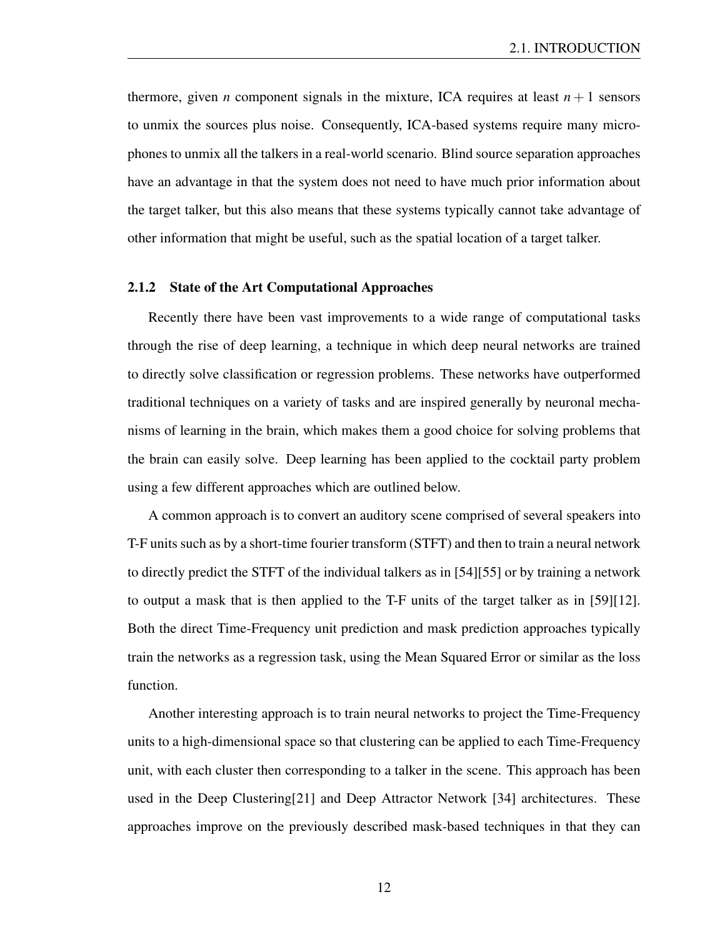thermore, given *n* component signals in the mixture, ICA requires at least  $n + 1$  sensors to unmix the sources plus noise. Consequently, ICA-based systems require many microphones to unmix all the talkers in a real-world scenario. Blind source separation approaches have an advantage in that the system does not need to have much prior information about the target talker, but this also means that these systems typically cannot take advantage of other information that might be useful, such as the spatial location of a target talker.

#### 2.1.2 State of the Art Computational Approaches

Recently there have been vast improvements to a wide range of computational tasks through the rise of deep learning, a technique in which deep neural networks are trained to directly solve classification or regression problems. These networks have outperformed traditional techniques on a variety of tasks and are inspired generally by neuronal mechanisms of learning in the brain, which makes them a good choice for solving problems that the brain can easily solve. Deep learning has been applied to the cocktail party problem using a few different approaches which are outlined below.

A common approach is to convert an auditory scene comprised of several speakers into T-F units such as by a short-time fourier transform (STFT) and then to train a neural network to directly predict the STFT of the individual talkers as in [54][55] or by training a network to output a mask that is then applied to the T-F units of the target talker as in [59][12]. Both the direct Time-Frequency unit prediction and mask prediction approaches typically train the networks as a regression task, using the Mean Squared Error or similar as the loss function.

Another interesting approach is to train neural networks to project the Time-Frequency units to a high-dimensional space so that clustering can be applied to each Time-Frequency unit, with each cluster then corresponding to a talker in the scene. This approach has been used in the Deep Clustering[21] and Deep Attractor Network [34] architectures. These approaches improve on the previously described mask-based techniques in that they can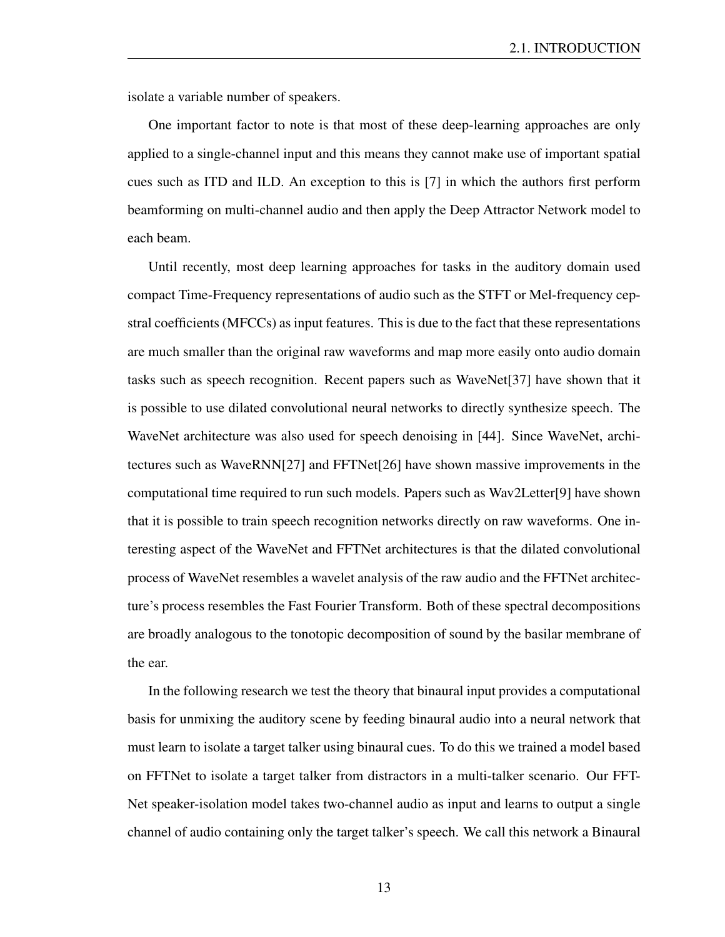isolate a variable number of speakers.

One important factor to note is that most of these deep-learning approaches are only applied to a single-channel input and this means they cannot make use of important spatial cues such as ITD and ILD. An exception to this is [7] in which the authors first perform beamforming on multi-channel audio and then apply the Deep Attractor Network model to each beam.

Until recently, most deep learning approaches for tasks in the auditory domain used compact Time-Frequency representations of audio such as the STFT or Mel-frequency cepstral coefficients (MFCCs) as input features. This is due to the fact that these representations are much smaller than the original raw waveforms and map more easily onto audio domain tasks such as speech recognition. Recent papers such as WaveNet[37] have shown that it is possible to use dilated convolutional neural networks to directly synthesize speech. The WaveNet architecture was also used for speech denoising in [44]. Since WaveNet, architectures such as WaveRNN[27] and FFTNet[26] have shown massive improvements in the computational time required to run such models. Papers such as Wav2Letter[9] have shown that it is possible to train speech recognition networks directly on raw waveforms. One interesting aspect of the WaveNet and FFTNet architectures is that the dilated convolutional process of WaveNet resembles a wavelet analysis of the raw audio and the FFTNet architecture's process resembles the Fast Fourier Transform. Both of these spectral decompositions are broadly analogous to the tonotopic decomposition of sound by the basilar membrane of the ear.

In the following research we test the theory that binaural input provides a computational basis for unmixing the auditory scene by feeding binaural audio into a neural network that must learn to isolate a target talker using binaural cues. To do this we trained a model based on FFTNet to isolate a target talker from distractors in a multi-talker scenario. Our FFT-Net speaker-isolation model takes two-channel audio as input and learns to output a single channel of audio containing only the target talker's speech. We call this network a Binaural

13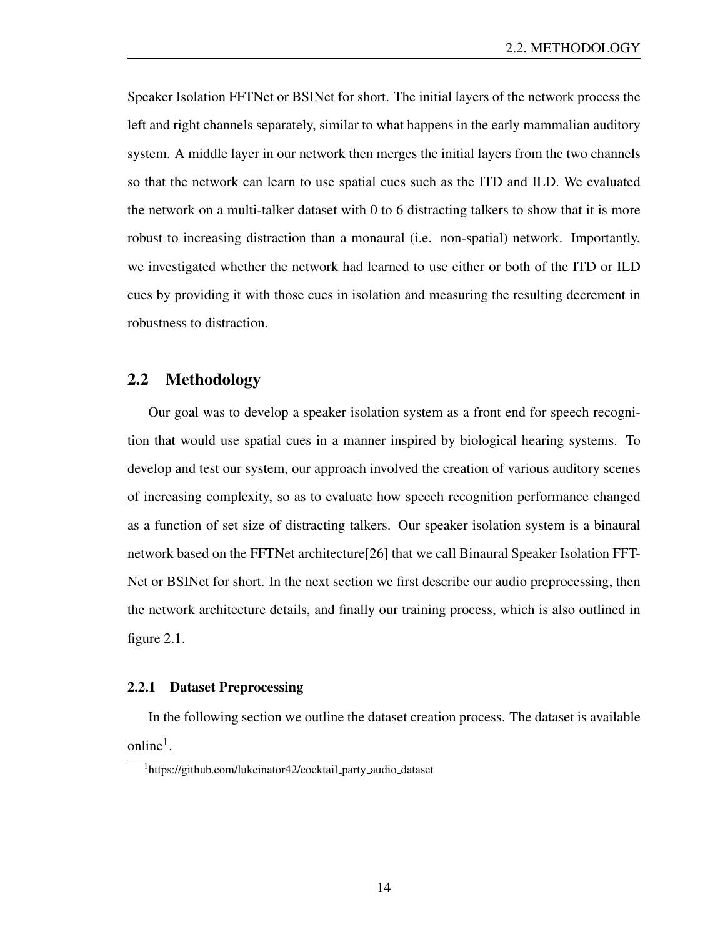Speaker Isolation FFTNet or BSINet for short. The initial layers of the network process the left and right channels separately, similar to what happens in the early mammalian auditory system. A middle layer in our network then merges the initial layers from the two channels so that the network can learn to use spatial cues such as the ITD and ILD. We evaluated the network on a multi-talker dataset with 0 to 6 distracting talkers to show that it is more robust to increasing distraction than a monaural (i.e. non-spatial) network. Importantly, we investigated whether the network had learned to use either or both of the ITD or ILD cues by providing it with those cues in isolation and measuring the resulting decrement in robustness to distraction.

### 2.2 Methodology

Our goal was to develop a speaker isolation system as a front end for speech recognition that would use spatial cues in a manner inspired by biological hearing systems. To develop and test our system, our approach involved the creation of various auditory scenes of increasing complexity, so as to evaluate how speech recognition performance changed as a function of set size of distracting talkers. Our speaker isolation system is a binaural network based on the FFTNet architecture[26] that we call Binaural Speaker Isolation FFT-Net or BSINet for short. In the next section we first describe our audio preprocessing, then the network architecture details, and finally our training process, which is also outlined in figure 2.1.

#### 2.2.1 Dataset Preprocessing

In the following section we outline the dataset creation process. The dataset is available online<sup>1</sup>.

<sup>&</sup>lt;sup>1</sup>https://github.com/lukeinator42/cocktail\_party\_audio\_dataset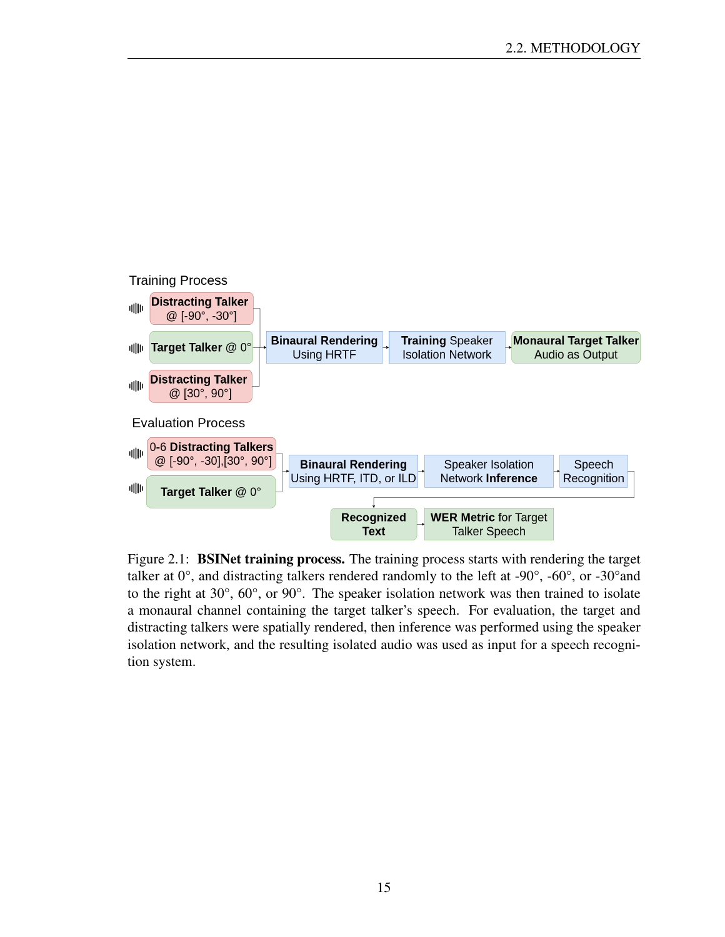

Figure 2.1: **BSINet training process.** The training process starts with rendering the target talker at  $0^{\circ}$ , and distracting talkers rendered randomly to the left at -90 $^{\circ}$ , -60 $^{\circ}$ , or -30 $^{\circ}$  and to the right at 30°, 60°, or 90°. The speaker isolation network was then trained to isolate a monaural channel containing the target talker's speech. For evaluation, the target and distracting talkers were spatially rendered, then inference was performed using the speaker isolation network, and the resulting isolated audio was used as input for a speech recognition system.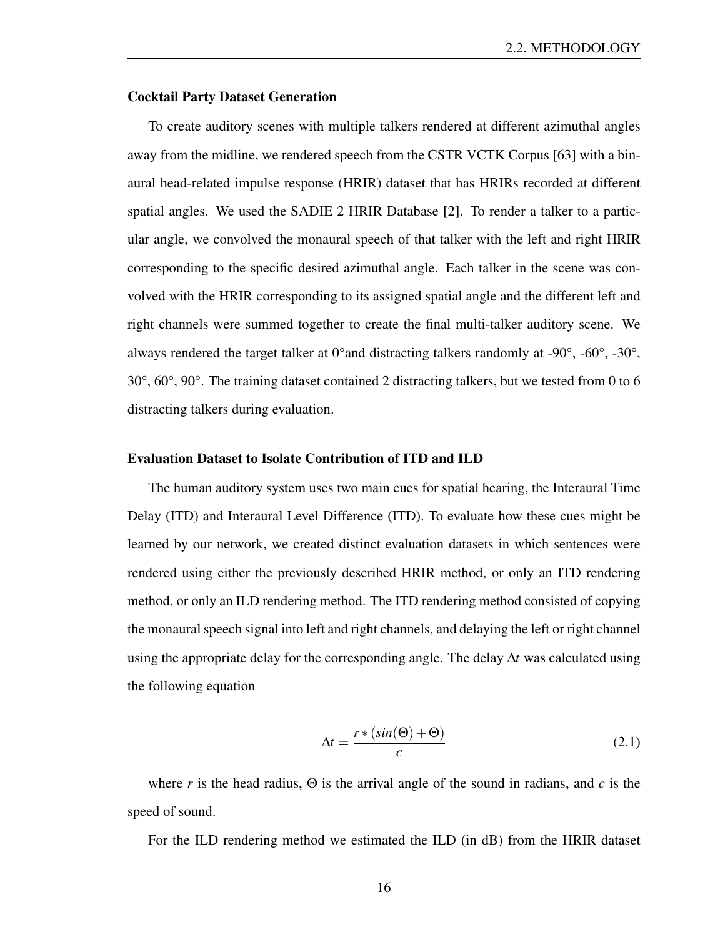#### Cocktail Party Dataset Generation

To create auditory scenes with multiple talkers rendered at different azimuthal angles away from the midline, we rendered speech from the CSTR VCTK Corpus [63] with a binaural head-related impulse response (HRIR) dataset that has HRIRs recorded at different spatial angles. We used the SADIE 2 HRIR Database [2]. To render a talker to a particular angle, we convolved the monaural speech of that talker with the left and right HRIR corresponding to the specific desired azimuthal angle. Each talker in the scene was convolved with the HRIR corresponding to its assigned spatial angle and the different left and right channels were summed together to create the final multi-talker auditory scene. We always rendered the target talker at 0°and distracting talkers randomly at -90°, -60°, -30°,  $30^{\circ}$ ,  $60^{\circ}$ ,  $90^{\circ}$ . The training dataset contained 2 distracting talkers, but we tested from 0 to 6 distracting talkers during evaluation.

#### Evaluation Dataset to Isolate Contribution of ITD and ILD

The human auditory system uses two main cues for spatial hearing, the Interaural Time Delay (ITD) and Interaural Level Difference (ITD). To evaluate how these cues might be learned by our network, we created distinct evaluation datasets in which sentences were rendered using either the previously described HRIR method, or only an ITD rendering method, or only an ILD rendering method. The ITD rendering method consisted of copying the monaural speech signal into left and right channels, and delaying the left or right channel using the appropriate delay for the corresponding angle. The delay ∆*t* was calculated using the following equation

$$
\Delta t = \frac{r * (sin(\Theta) + \Theta)}{c}
$$
 (2.1)

where *r* is the head radius,  $\Theta$  is the arrival angle of the sound in radians, and *c* is the speed of sound.

For the ILD rendering method we estimated the ILD (in dB) from the HRIR dataset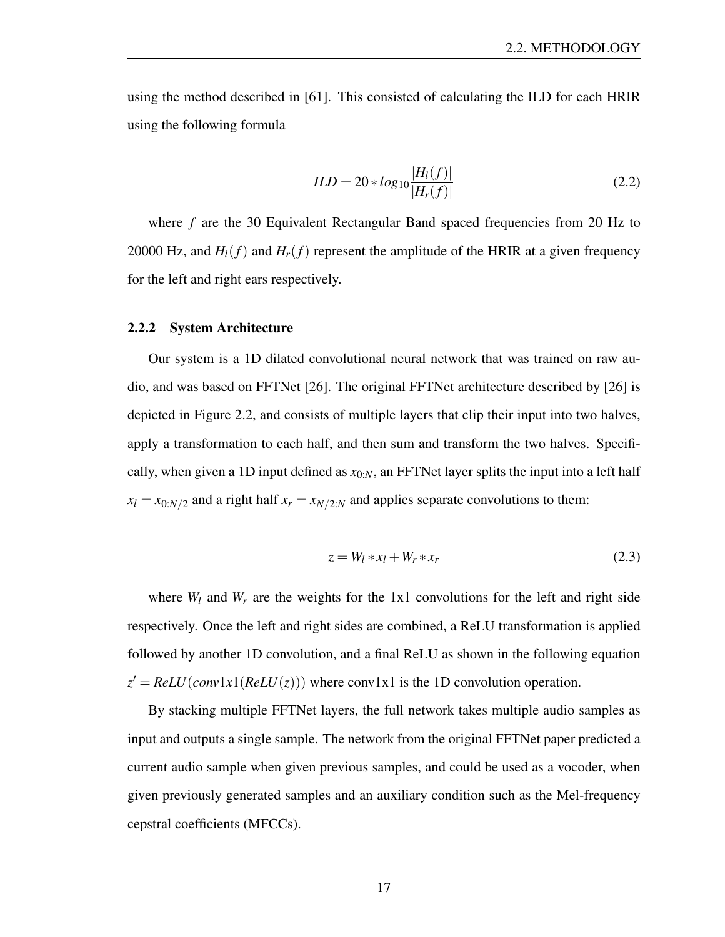using the method described in [61]. This consisted of calculating the ILD for each HRIR using the following formula

$$
ILD = 20 * log_{10} \frac{|H_l(f)|}{|H_r(f)|}
$$
\n(2.2)

where *f* are the 30 Equivalent Rectangular Band spaced frequencies from 20 Hz to 20000 Hz, and  $H_l(f)$  and  $H_r(f)$  represent the amplitude of the HRIR at a given frequency for the left and right ears respectively.

#### 2.2.2 System Architecture

Our system is a 1D dilated convolutional neural network that was trained on raw audio, and was based on FFTNet [26]. The original FFTNet architecture described by [26] is depicted in Figure 2.2, and consists of multiple layers that clip their input into two halves, apply a transformation to each half, and then sum and transform the two halves. Specifically, when given a 1D input defined as  $x_{0:N}$ , an FFTNet layer splits the input into a left half  $x_l = x_{0:N/2}$  and a right half  $x_r = x_{N/2:N}$  and applies separate convolutions to them:

$$
z = W_l * x_l + W_r * x_r \tag{2.3}
$$

where  $W_l$  and  $W_r$  are the weights for the 1x1 convolutions for the left and right side respectively. Once the left and right sides are combined, a ReLU transformation is applied followed by another 1D convolution, and a final ReLU as shown in the following equation  $z' = ReLU(conv1x1(ReLU(z)))$  where conv1x1 is the 1D convolution operation.

By stacking multiple FFTNet layers, the full network takes multiple audio samples as input and outputs a single sample. The network from the original FFTNet paper predicted a current audio sample when given previous samples, and could be used as a vocoder, when given previously generated samples and an auxiliary condition such as the Mel-frequency cepstral coefficients (MFCCs).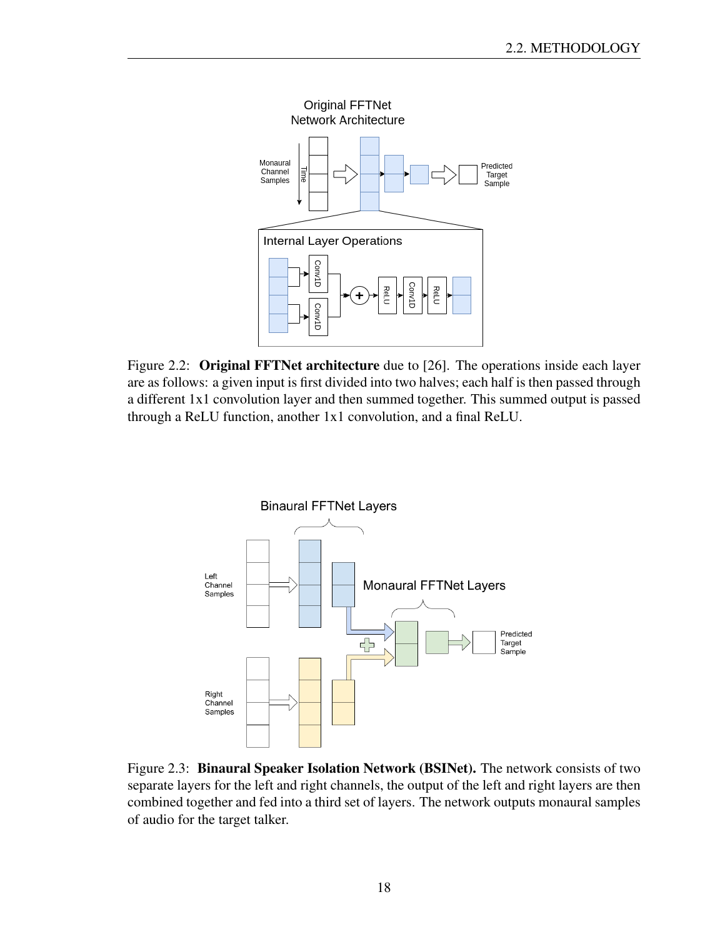

Figure 2.2: Original FFTNet architecture due to [26]. The operations inside each layer are as follows: a given input is first divided into two halves; each half is then passed through a different 1x1 convolution layer and then summed together. This summed output is passed through a ReLU function, another 1x1 convolution, and a final ReLU.



Figure 2.3: Binaural Speaker Isolation Network (BSINet). The network consists of two separate layers for the left and right channels, the output of the left and right layers are then combined together and fed into a third set of layers. The network outputs monaural samples of audio for the target talker.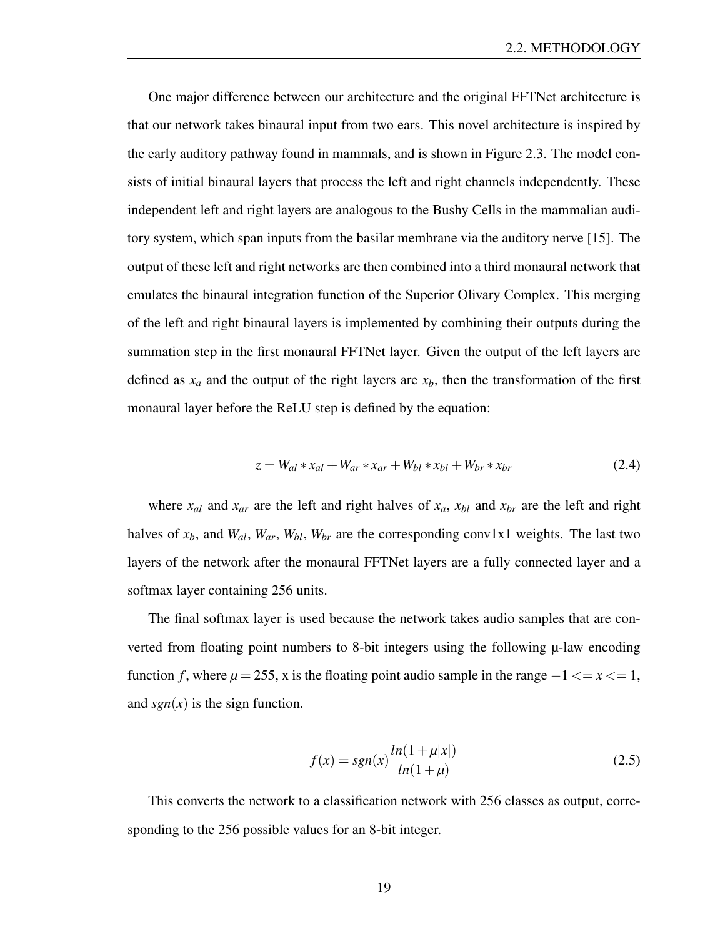One major difference between our architecture and the original FFTNet architecture is that our network takes binaural input from two ears. This novel architecture is inspired by the early auditory pathway found in mammals, and is shown in Figure 2.3. The model consists of initial binaural layers that process the left and right channels independently. These independent left and right layers are analogous to the Bushy Cells in the mammalian auditory system, which span inputs from the basilar membrane via the auditory nerve [15]. The output of these left and right networks are then combined into a third monaural network that emulates the binaural integration function of the Superior Olivary Complex. This merging of the left and right binaural layers is implemented by combining their outputs during the summation step in the first monaural FFTNet layer. Given the output of the left layers are defined as  $x_a$  and the output of the right layers are  $x_b$ , then the transformation of the first monaural layer before the ReLU step is defined by the equation:

$$
z = W_{al} * x_{al} + W_{ar} * x_{ar} + W_{bl} * x_{bl} + W_{br} * x_{br}
$$
 (2.4)

where  $x_{al}$  and  $x_{ar}$  are the left and right halves of  $x_a$ ,  $x_{bl}$  and  $x_{br}$  are the left and right halves of  $x_b$ , and  $W_{al}$ ,  $W_{ar}$ ,  $W_{bl}$ ,  $W_{br}$  are the corresponding conv1x1 weights. The last two layers of the network after the monaural FFTNet layers are a fully connected layer and a softmax layer containing 256 units.

The final softmax layer is used because the network takes audio samples that are converted from floating point numbers to 8-bit integers using the following µ-law encoding function *f*, where  $\mu = 255$ , x is the floating point audio sample in the range  $-1 \le x \le 1$ , and  $sgn(x)$  is the sign function.

$$
f(x) = sgn(x) \frac{ln(1 + \mu|x|)}{ln(1 + \mu)}
$$
\n(2.5)

This converts the network to a classification network with 256 classes as output, corresponding to the 256 possible values for an 8-bit integer.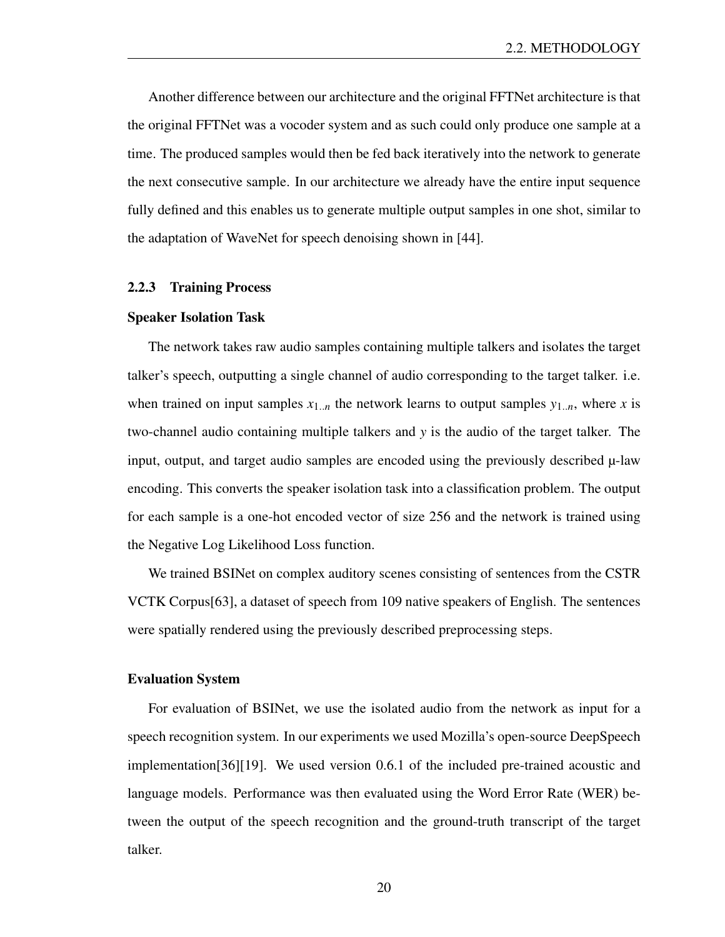Another difference between our architecture and the original FFTNet architecture is that the original FFTNet was a vocoder system and as such could only produce one sample at a time. The produced samples would then be fed back iteratively into the network to generate the next consecutive sample. In our architecture we already have the entire input sequence fully defined and this enables us to generate multiple output samples in one shot, similar to the adaptation of WaveNet for speech denoising shown in [44].

#### 2.2.3 Training Process

#### Speaker Isolation Task

The network takes raw audio samples containing multiple talkers and isolates the target talker's speech, outputting a single channel of audio corresponding to the target talker. i.e. when trained on input samples  $x_{1..n}$  the network learns to output samples  $y_{1..n}$ , where *x* is two-channel audio containing multiple talkers and *y* is the audio of the target talker. The input, output, and target audio samples are encoded using the previously described  $\mu$ -law encoding. This converts the speaker isolation task into a classification problem. The output for each sample is a one-hot encoded vector of size 256 and the network is trained using the Negative Log Likelihood Loss function.

We trained BSINet on complex auditory scenes consisting of sentences from the CSTR VCTK Corpus[63], a dataset of speech from 109 native speakers of English. The sentences were spatially rendered using the previously described preprocessing steps.

#### Evaluation System

For evaluation of BSINet, we use the isolated audio from the network as input for a speech recognition system. In our experiments we used Mozilla's open-source DeepSpeech implementation[36][19]. We used version 0.6.1 of the included pre-trained acoustic and language models. Performance was then evaluated using the Word Error Rate (WER) between the output of the speech recognition and the ground-truth transcript of the target talker.

20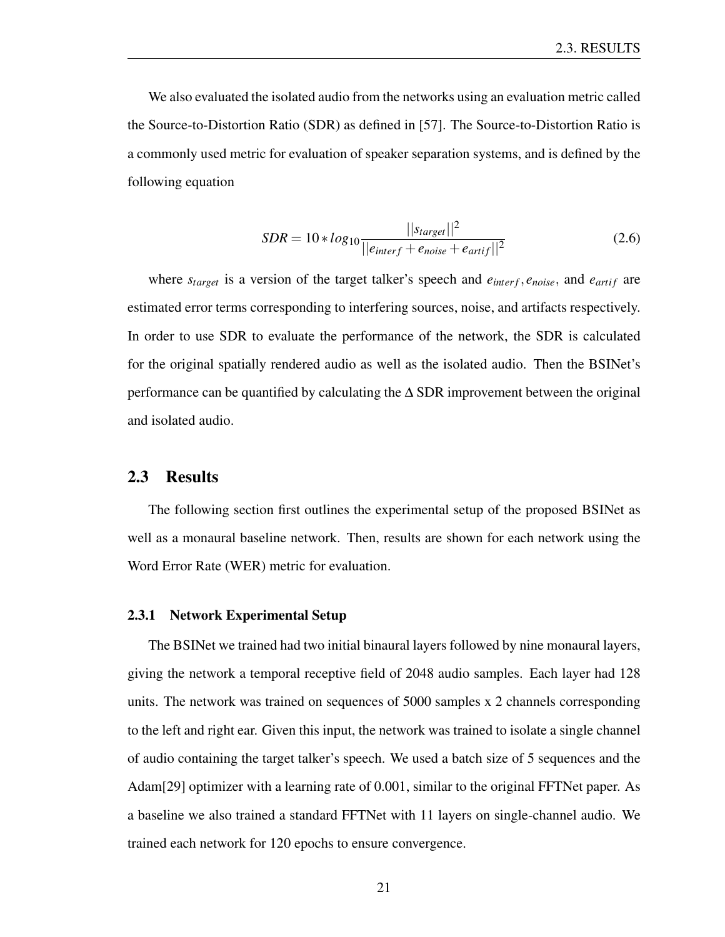We also evaluated the isolated audio from the networks using an evaluation metric called the Source-to-Distortion Ratio (SDR) as defined in [57]. The Source-to-Distortion Ratio is a commonly used metric for evaluation of speaker separation systems, and is defined by the following equation

$$
SDR = 10 * log10 \frac{||starget||2}{||einterf + enoise + eartif||2}
$$
(2.6)

where  $s_{target}$  is a version of the target talker's speech and  $e_{interf}$ ,  $e_{noise}$ , and  $e_{artif}$  are estimated error terms corresponding to interfering sources, noise, and artifacts respectively. In order to use SDR to evaluate the performance of the network, the SDR is calculated for the original spatially rendered audio as well as the isolated audio. Then the BSINet's performance can be quantified by calculating the ∆ SDR improvement between the original and isolated audio.

### 2.3 Results

The following section first outlines the experimental setup of the proposed BSINet as well as a monaural baseline network. Then, results are shown for each network using the Word Error Rate (WER) metric for evaluation.

#### 2.3.1 Network Experimental Setup

The BSINet we trained had two initial binaural layers followed by nine monaural layers, giving the network a temporal receptive field of 2048 audio samples. Each layer had 128 units. The network was trained on sequences of 5000 samples x 2 channels corresponding to the left and right ear. Given this input, the network was trained to isolate a single channel of audio containing the target talker's speech. We used a batch size of 5 sequences and the Adam[29] optimizer with a learning rate of 0.001, similar to the original FFTNet paper. As a baseline we also trained a standard FFTNet with 11 layers on single-channel audio. We trained each network for 120 epochs to ensure convergence.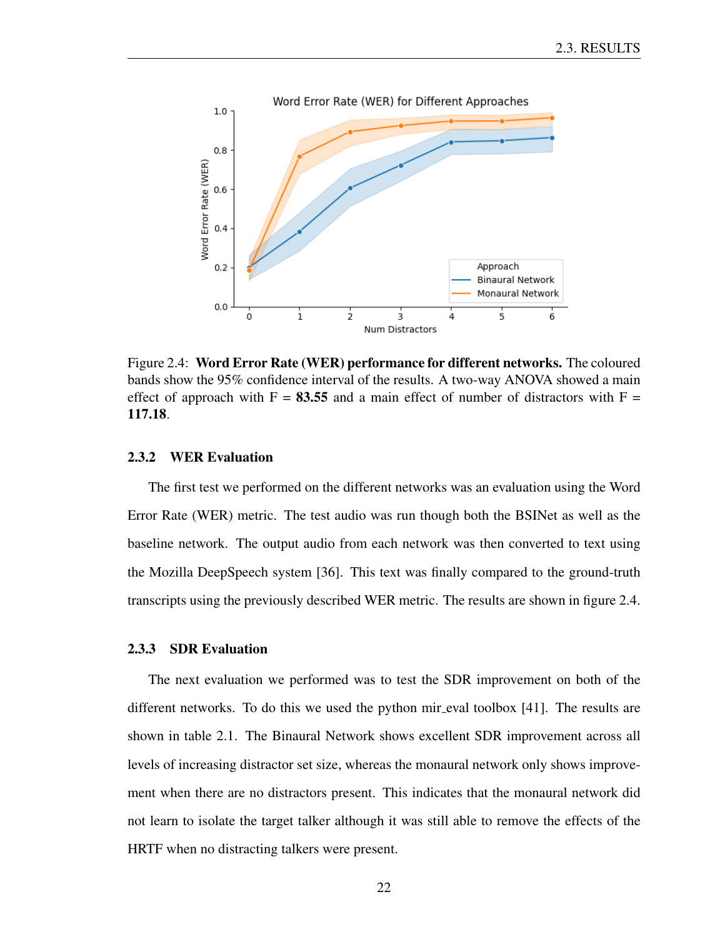

Figure 2.4: Word Error Rate (WER) performance for different networks. The coloured bands show the 95% confidence interval of the results. A two-way ANOVA showed a main effect of approach with  $F = 83.55$  and a main effect of number of distractors with  $F =$ 117.18.

#### 2.3.2 WER Evaluation

The first test we performed on the different networks was an evaluation using the Word Error Rate (WER) metric. The test audio was run though both the BSINet as well as the baseline network. The output audio from each network was then converted to text using the Mozilla DeepSpeech system [36]. This text was finally compared to the ground-truth transcripts using the previously described WER metric. The results are shown in figure 2.4.

#### 2.3.3 SDR Evaluation

The next evaluation we performed was to test the SDR improvement on both of the different networks. To do this we used the python mir eval toolbox [41]. The results are shown in table 2.1. The Binaural Network shows excellent SDR improvement across all levels of increasing distractor set size, whereas the monaural network only shows improvement when there are no distractors present. This indicates that the monaural network did not learn to isolate the target talker although it was still able to remove the effects of the HRTF when no distracting talkers were present.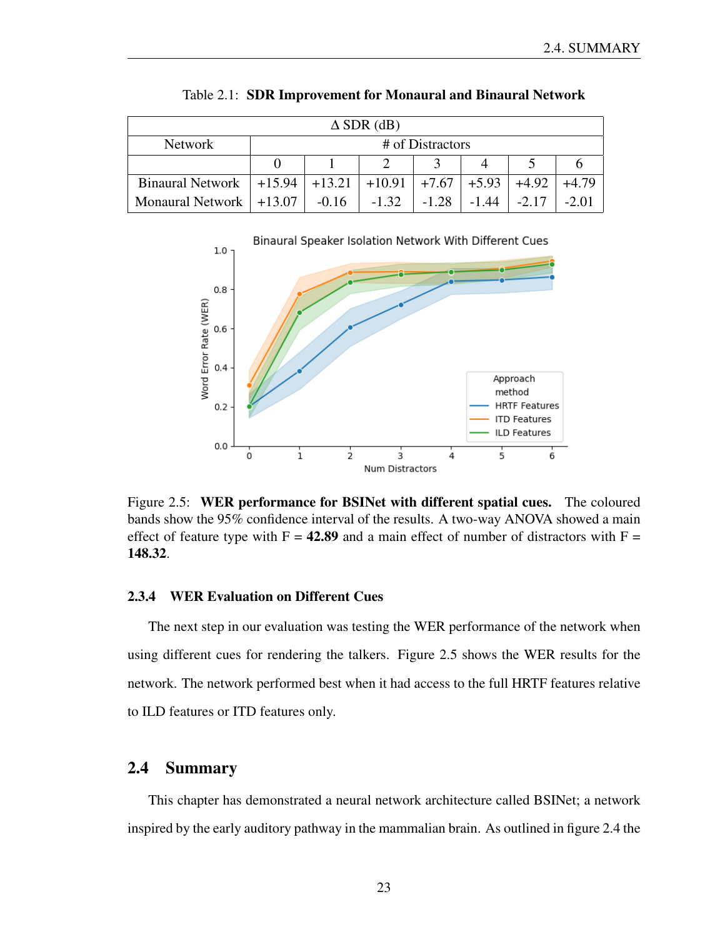| $\triangle$ SDR (dB)        |                  |          |                |         |         |         |         |
|-----------------------------|------------------|----------|----------------|---------|---------|---------|---------|
| <b>Network</b>              | # of Distractors |          |                |         |         |         |         |
|                             |                  |          |                |         |         |         |         |
| Binaural Network   $+15.94$ |                  | $+13.21$ | $+10.91$ +7.67 |         | $+5.93$ | $+4.92$ | $+4.79$ |
| Monaural Network $ +13.07$  |                  | $-0.16$  | $-1.32$        | $-1.28$ | $-1.44$ |         | $-2.01$ |

Table 2.1: SDR Improvement for Monaural and Binaural Network



Figure 2.5: WER performance for BSINet with different spatial cues. The coloured bands show the 95% confidence interval of the results. A two-way ANOVA showed a main effect of feature type with  $F = 42.89$  and a main effect of number of distractors with  $F =$ 148.32.

#### 2.3.4 WER Evaluation on Different Cues

The next step in our evaluation was testing the WER performance of the network when using different cues for rendering the talkers. Figure 2.5 shows the WER results for the network. The network performed best when it had access to the full HRTF features relative to ILD features or ITD features only.

## 2.4 Summary

This chapter has demonstrated a neural network architecture called BSINet; a network inspired by the early auditory pathway in the mammalian brain. As outlined in figure 2.4 the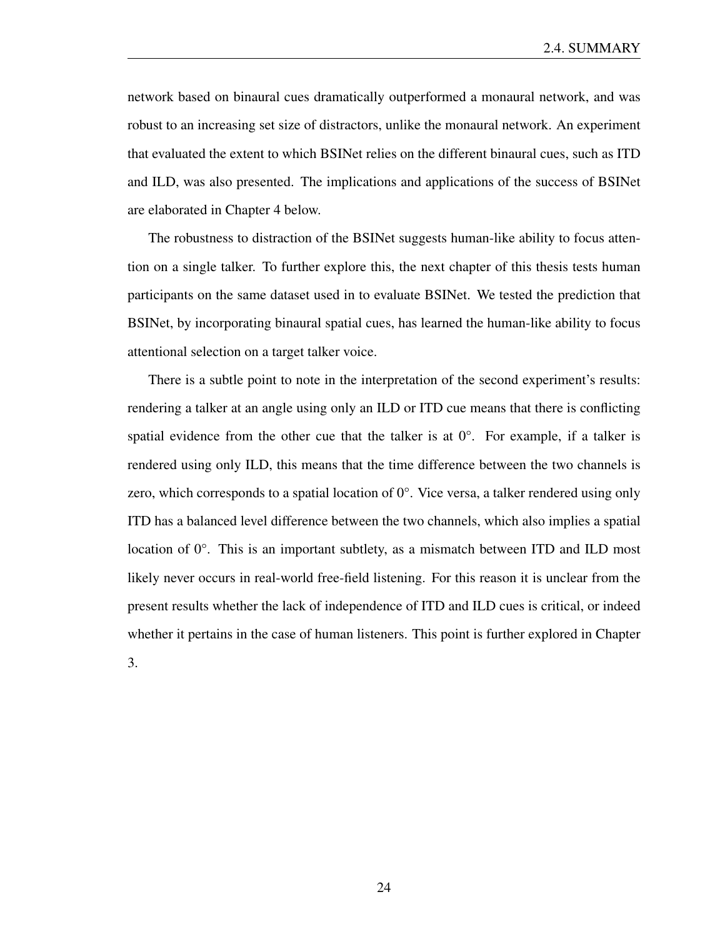network based on binaural cues dramatically outperformed a monaural network, and was robust to an increasing set size of distractors, unlike the monaural network. An experiment that evaluated the extent to which BSINet relies on the different binaural cues, such as ITD and ILD, was also presented. The implications and applications of the success of BSINet are elaborated in Chapter 4 below.

The robustness to distraction of the BSINet suggests human-like ability to focus attention on a single talker. To further explore this, the next chapter of this thesis tests human participants on the same dataset used in to evaluate BSINet. We tested the prediction that BSINet, by incorporating binaural spatial cues, has learned the human-like ability to focus attentional selection on a target talker voice.

There is a subtle point to note in the interpretation of the second experiment's results: rendering a talker at an angle using only an ILD or ITD cue means that there is conflicting spatial evidence from the other cue that the talker is at  $0^\circ$ . For example, if a talker is rendered using only ILD, this means that the time difference between the two channels is zero, which corresponds to a spatial location of  $0^\circ$ . Vice versa, a talker rendered using only ITD has a balanced level difference between the two channels, which also implies a spatial location of 0°. This is an important subtlety, as a mismatch between ITD and ILD most likely never occurs in real-world free-field listening. For this reason it is unclear from the present results whether the lack of independence of ITD and ILD cues is critical, or indeed whether it pertains in the case of human listeners. This point is further explored in Chapter 3.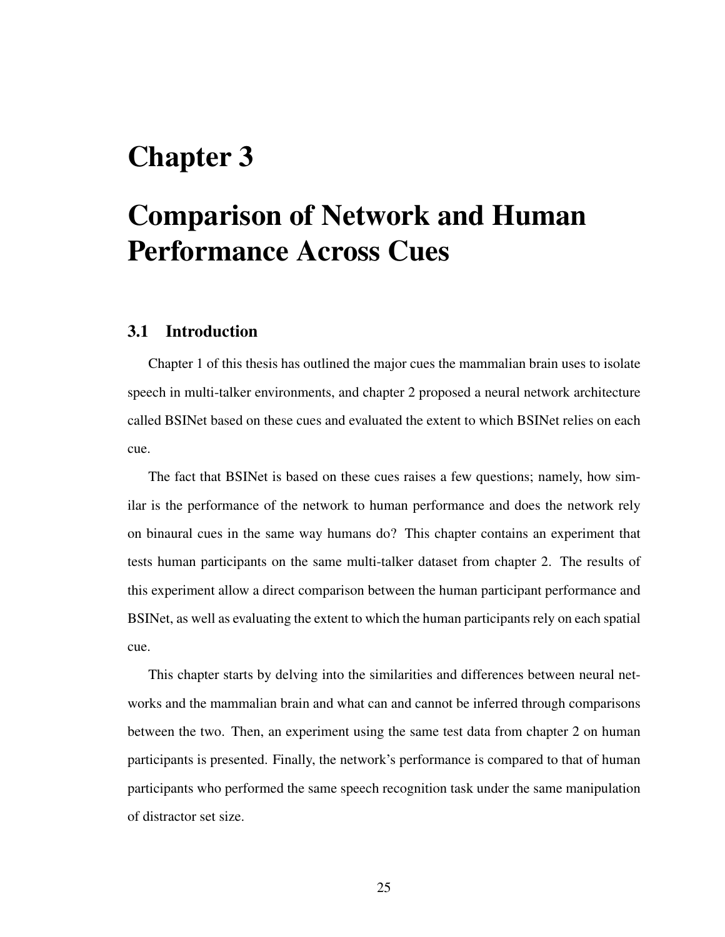## Chapter 3

# Comparison of Network and Human Performance Across Cues

## 3.1 Introduction

Chapter 1 of this thesis has outlined the major cues the mammalian brain uses to isolate speech in multi-talker environments, and chapter 2 proposed a neural network architecture called BSINet based on these cues and evaluated the extent to which BSINet relies on each cue.

The fact that BSINet is based on these cues raises a few questions; namely, how similar is the performance of the network to human performance and does the network rely on binaural cues in the same way humans do? This chapter contains an experiment that tests human participants on the same multi-talker dataset from chapter 2. The results of this experiment allow a direct comparison between the human participant performance and BSINet, as well as evaluating the extent to which the human participants rely on each spatial cue.

This chapter starts by delving into the similarities and differences between neural networks and the mammalian brain and what can and cannot be inferred through comparisons between the two. Then, an experiment using the same test data from chapter 2 on human participants is presented. Finally, the network's performance is compared to that of human participants who performed the same speech recognition task under the same manipulation of distractor set size.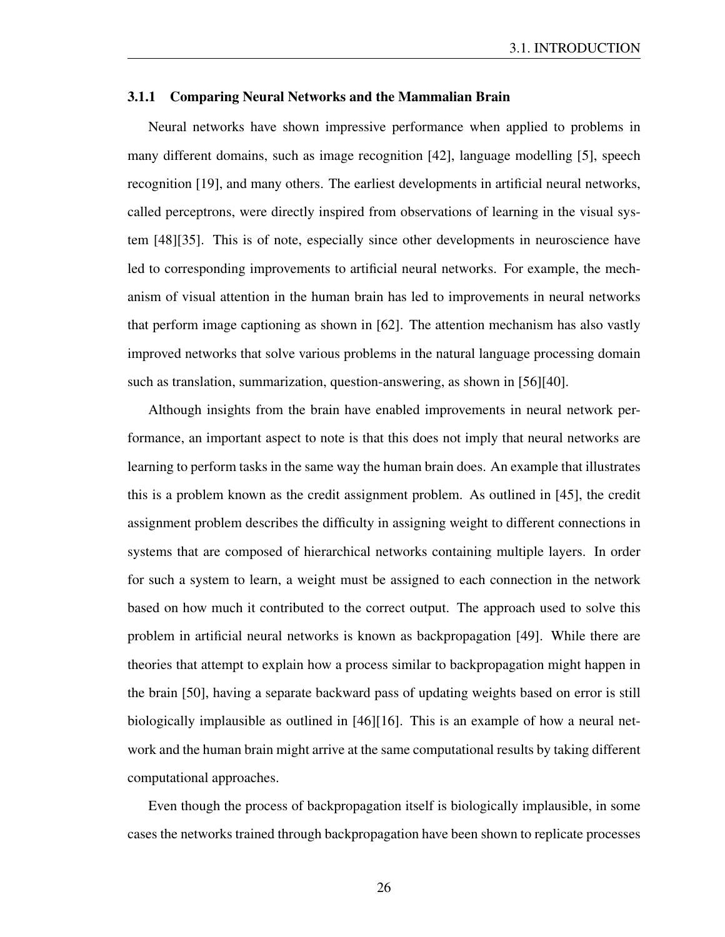#### 3.1.1 Comparing Neural Networks and the Mammalian Brain

Neural networks have shown impressive performance when applied to problems in many different domains, such as image recognition [42], language modelling [5], speech recognition [19], and many others. The earliest developments in artificial neural networks, called perceptrons, were directly inspired from observations of learning in the visual system [48][35]. This is of note, especially since other developments in neuroscience have led to corresponding improvements to artificial neural networks. For example, the mechanism of visual attention in the human brain has led to improvements in neural networks that perform image captioning as shown in [62]. The attention mechanism has also vastly improved networks that solve various problems in the natural language processing domain such as translation, summarization, question-answering, as shown in [56][40].

Although insights from the brain have enabled improvements in neural network performance, an important aspect to note is that this does not imply that neural networks are learning to perform tasks in the same way the human brain does. An example that illustrates this is a problem known as the credit assignment problem. As outlined in [45], the credit assignment problem describes the difficulty in assigning weight to different connections in systems that are composed of hierarchical networks containing multiple layers. In order for such a system to learn, a weight must be assigned to each connection in the network based on how much it contributed to the correct output. The approach used to solve this problem in artificial neural networks is known as backpropagation [49]. While there are theories that attempt to explain how a process similar to backpropagation might happen in the brain [50], having a separate backward pass of updating weights based on error is still biologically implausible as outlined in [46][16]. This is an example of how a neural network and the human brain might arrive at the same computational results by taking different computational approaches.

Even though the process of backpropagation itself is biologically implausible, in some cases the networks trained through backpropagation have been shown to replicate processes

26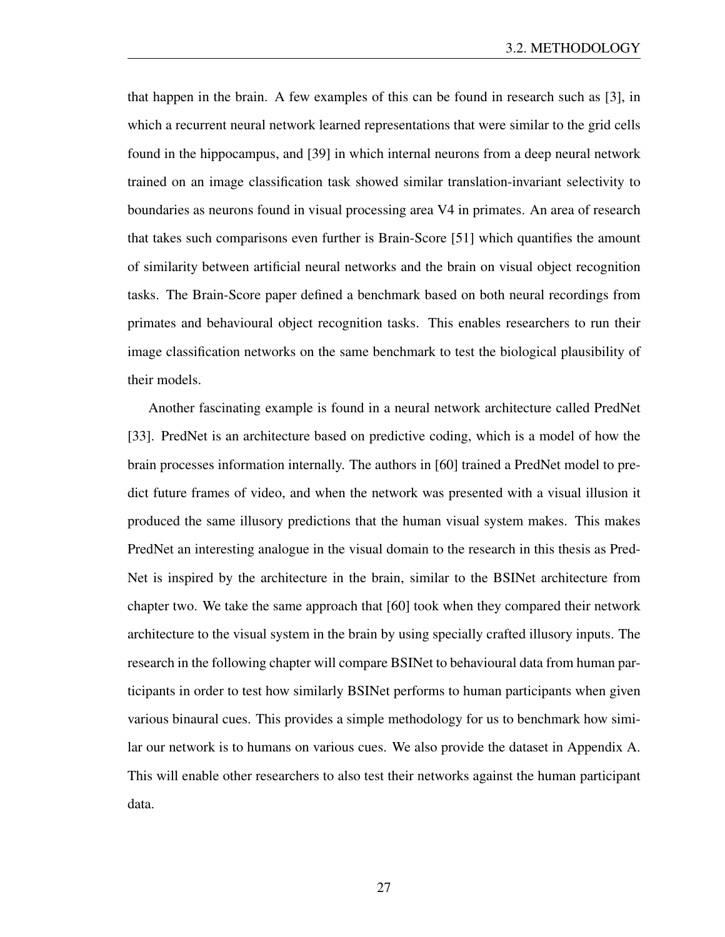that happen in the brain. A few examples of this can be found in research such as [3], in which a recurrent neural network learned representations that were similar to the grid cells found in the hippocampus, and [39] in which internal neurons from a deep neural network trained on an image classification task showed similar translation-invariant selectivity to boundaries as neurons found in visual processing area V4 in primates. An area of research that takes such comparisons even further is Brain-Score [51] which quantifies the amount of similarity between artificial neural networks and the brain on visual object recognition tasks. The Brain-Score paper defined a benchmark based on both neural recordings from primates and behavioural object recognition tasks. This enables researchers to run their image classification networks on the same benchmark to test the biological plausibility of their models.

Another fascinating example is found in a neural network architecture called PredNet [33]. PredNet is an architecture based on predictive coding, which is a model of how the brain processes information internally. The authors in [60] trained a PredNet model to predict future frames of video, and when the network was presented with a visual illusion it produced the same illusory predictions that the human visual system makes. This makes PredNet an interesting analogue in the visual domain to the research in this thesis as Pred-Net is inspired by the architecture in the brain, similar to the BSINet architecture from chapter two. We take the same approach that [60] took when they compared their network architecture to the visual system in the brain by using specially crafted illusory inputs. The research in the following chapter will compare BSINet to behavioural data from human participants in order to test how similarly BSINet performs to human participants when given various binaural cues. This provides a simple methodology for us to benchmark how similar our network is to humans on various cues. We also provide the dataset in Appendix A. This will enable other researchers to also test their networks against the human participant data.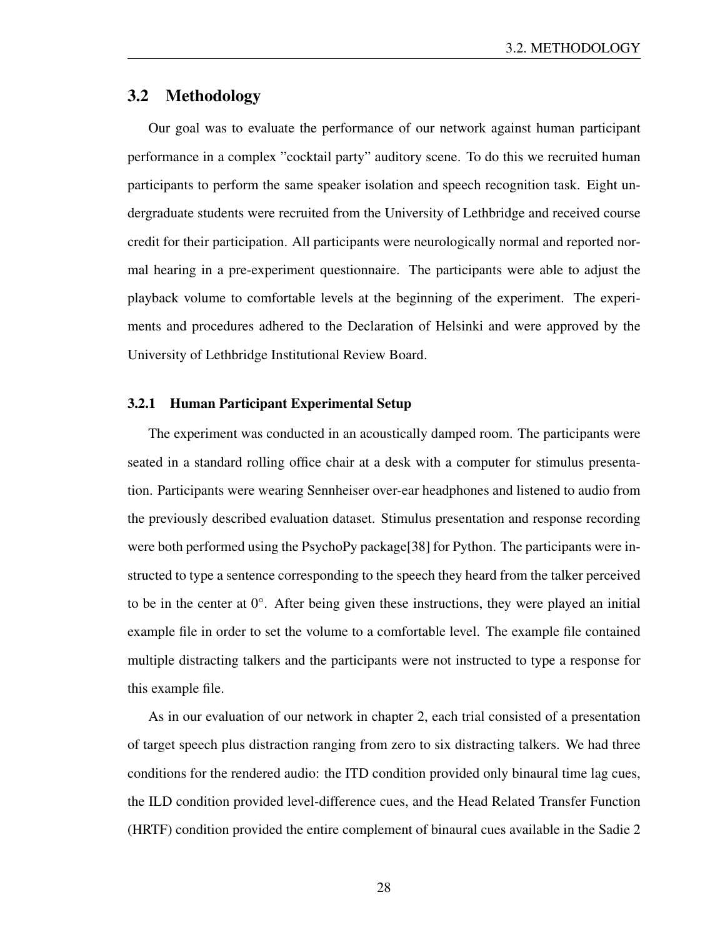### 3.2 Methodology

Our goal was to evaluate the performance of our network against human participant performance in a complex "cocktail party" auditory scene. To do this we recruited human participants to perform the same speaker isolation and speech recognition task. Eight undergraduate students were recruited from the University of Lethbridge and received course credit for their participation. All participants were neurologically normal and reported normal hearing in a pre-experiment questionnaire. The participants were able to adjust the playback volume to comfortable levels at the beginning of the experiment. The experiments and procedures adhered to the Declaration of Helsinki and were approved by the University of Lethbridge Institutional Review Board.

#### 3.2.1 Human Participant Experimental Setup

The experiment was conducted in an acoustically damped room. The participants were seated in a standard rolling office chair at a desk with a computer for stimulus presentation. Participants were wearing Sennheiser over-ear headphones and listened to audio from the previously described evaluation dataset. Stimulus presentation and response recording were both performed using the PsychoPy package[38] for Python. The participants were instructed to type a sentence corresponding to the speech they heard from the talker perceived to be in the center at 0°. After being given these instructions, they were played an initial example file in order to set the volume to a comfortable level. The example file contained multiple distracting talkers and the participants were not instructed to type a response for this example file.

As in our evaluation of our network in chapter 2, each trial consisted of a presentation of target speech plus distraction ranging from zero to six distracting talkers. We had three conditions for the rendered audio: the ITD condition provided only binaural time lag cues, the ILD condition provided level-difference cues, and the Head Related Transfer Function (HRTF) condition provided the entire complement of binaural cues available in the Sadie 2

28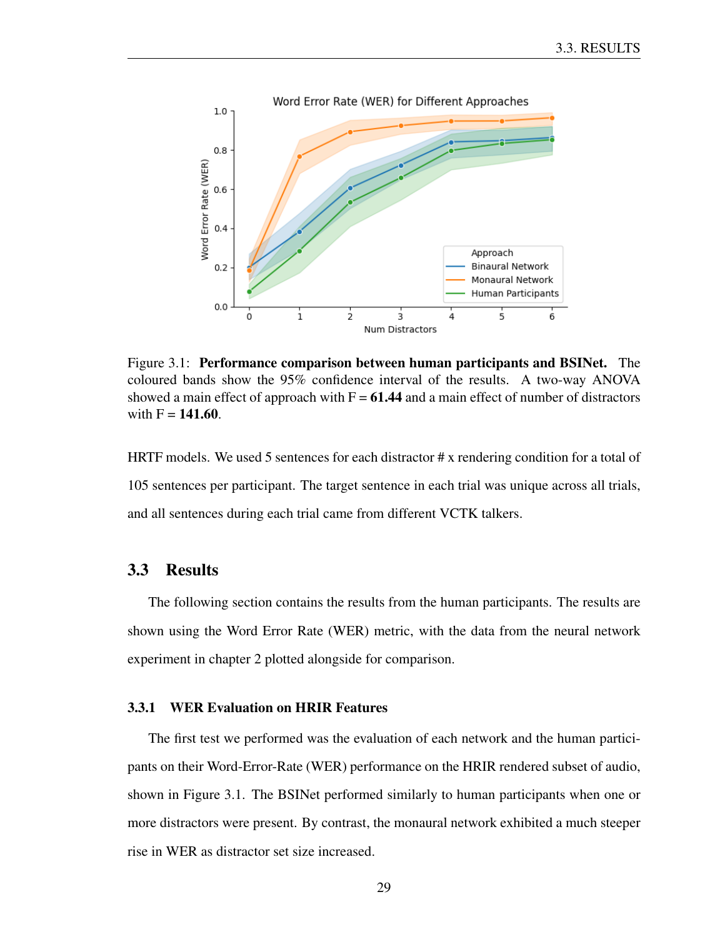

Figure 3.1: Performance comparison between human participants and BSINet. The coloured bands show the 95% confidence interval of the results. A two-way ANOVA showed a main effect of approach with  $F = 61.44$  and a main effect of number of distractors with  $F = 141.60$ .

HRTF models. We used 5 sentences for each distractor # x rendering condition for a total of 105 sentences per participant. The target sentence in each trial was unique across all trials, and all sentences during each trial came from different VCTK talkers.

## 3.3 Results

The following section contains the results from the human participants. The results are shown using the Word Error Rate (WER) metric, with the data from the neural network experiment in chapter 2 plotted alongside for comparison.

#### 3.3.1 WER Evaluation on HRIR Features

The first test we performed was the evaluation of each network and the human participants on their Word-Error-Rate (WER) performance on the HRIR rendered subset of audio, shown in Figure 3.1. The BSINet performed similarly to human participants when one or more distractors were present. By contrast, the monaural network exhibited a much steeper rise in WER as distractor set size increased.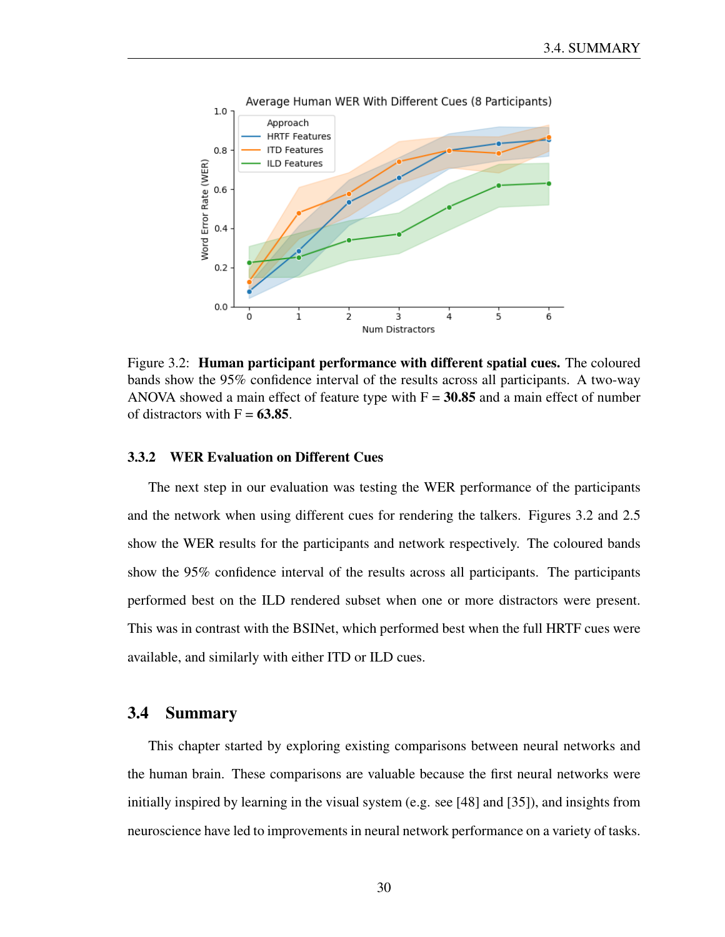

Figure 3.2: Human participant performance with different spatial cues. The coloured bands show the 95% confidence interval of the results across all participants. A two-way ANOVA showed a main effect of feature type with  $F = 30.85$  and a main effect of number of distractors with  $F = 63.85$ .

#### 3.3.2 WER Evaluation on Different Cues

The next step in our evaluation was testing the WER performance of the participants and the network when using different cues for rendering the talkers. Figures 3.2 and 2.5 show the WER results for the participants and network respectively. The coloured bands show the 95% confidence interval of the results across all participants. The participants performed best on the ILD rendered subset when one or more distractors were present. This was in contrast with the BSINet, which performed best when the full HRTF cues were available, and similarly with either ITD or ILD cues.

### 3.4 Summary

This chapter started by exploring existing comparisons between neural networks and the human brain. These comparisons are valuable because the first neural networks were initially inspired by learning in the visual system (e.g. see [48] and [35]), and insights from neuroscience have led to improvements in neural network performance on a variety of tasks.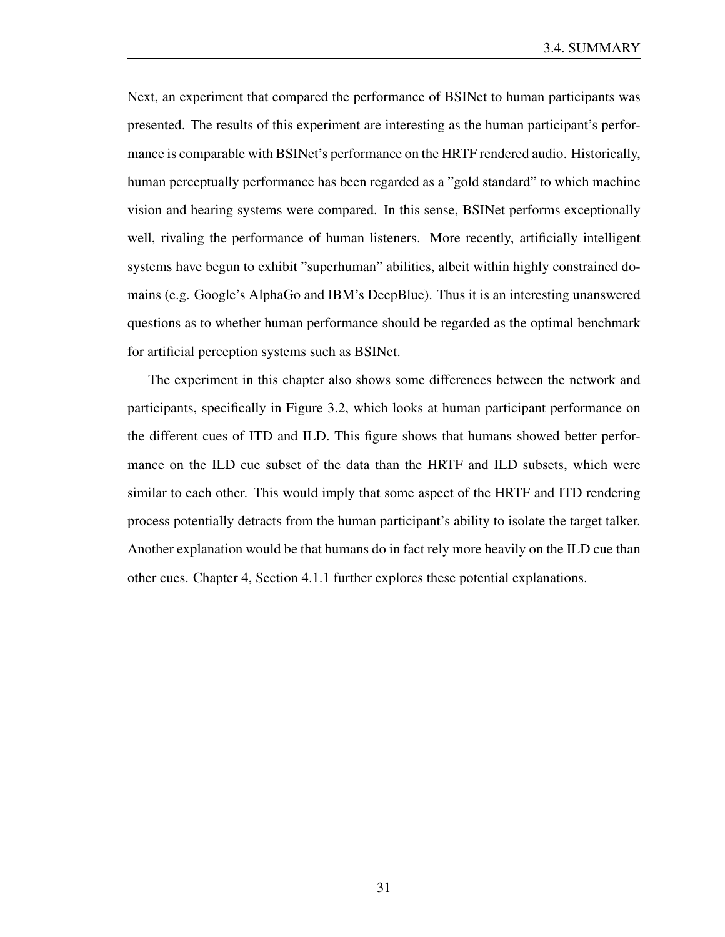Next, an experiment that compared the performance of BSINet to human participants was presented. The results of this experiment are interesting as the human participant's performance is comparable with BSINet's performance on the HRTF rendered audio. Historically, human perceptually performance has been regarded as a "gold standard" to which machine vision and hearing systems were compared. In this sense, BSINet performs exceptionally well, rivaling the performance of human listeners. More recently, artificially intelligent systems have begun to exhibit "superhuman" abilities, albeit within highly constrained domains (e.g. Google's AlphaGo and IBM's DeepBlue). Thus it is an interesting unanswered questions as to whether human performance should be regarded as the optimal benchmark for artificial perception systems such as BSINet.

The experiment in this chapter also shows some differences between the network and participants, specifically in Figure 3.2, which looks at human participant performance on the different cues of ITD and ILD. This figure shows that humans showed better performance on the ILD cue subset of the data than the HRTF and ILD subsets, which were similar to each other. This would imply that some aspect of the HRTF and ITD rendering process potentially detracts from the human participant's ability to isolate the target talker. Another explanation would be that humans do in fact rely more heavily on the ILD cue than other cues. Chapter 4, Section 4.1.1 further explores these potential explanations.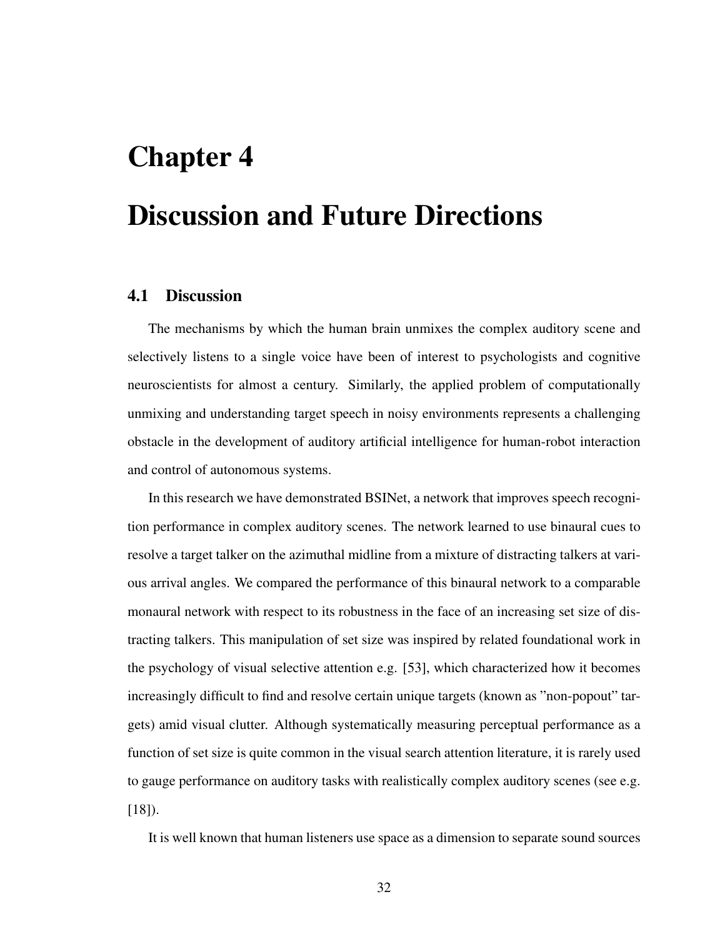## Chapter 4

## Discussion and Future Directions

## 4.1 Discussion

The mechanisms by which the human brain unmixes the complex auditory scene and selectively listens to a single voice have been of interest to psychologists and cognitive neuroscientists for almost a century. Similarly, the applied problem of computationally unmixing and understanding target speech in noisy environments represents a challenging obstacle in the development of auditory artificial intelligence for human-robot interaction and control of autonomous systems.

In this research we have demonstrated BSINet, a network that improves speech recognition performance in complex auditory scenes. The network learned to use binaural cues to resolve a target talker on the azimuthal midline from a mixture of distracting talkers at various arrival angles. We compared the performance of this binaural network to a comparable monaural network with respect to its robustness in the face of an increasing set size of distracting talkers. This manipulation of set size was inspired by related foundational work in the psychology of visual selective attention e.g. [53], which characterized how it becomes increasingly difficult to find and resolve certain unique targets (known as "non-popout" targets) amid visual clutter. Although systematically measuring perceptual performance as a function of set size is quite common in the visual search attention literature, it is rarely used to gauge performance on auditory tasks with realistically complex auditory scenes (see e.g.  $[18]$ .

It is well known that human listeners use space as a dimension to separate sound sources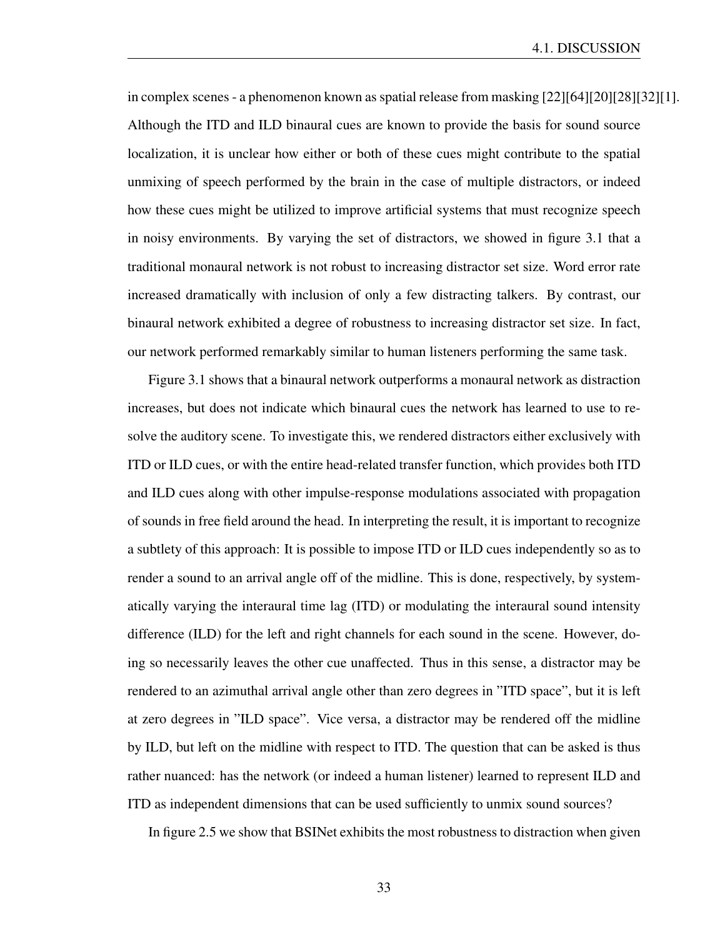in complex scenes - a phenomenon known as spatial release from masking [22][64][20][28][32][1]. Although the ITD and ILD binaural cues are known to provide the basis for sound source localization, it is unclear how either or both of these cues might contribute to the spatial unmixing of speech performed by the brain in the case of multiple distractors, or indeed how these cues might be utilized to improve artificial systems that must recognize speech in noisy environments. By varying the set of distractors, we showed in figure 3.1 that a traditional monaural network is not robust to increasing distractor set size. Word error rate increased dramatically with inclusion of only a few distracting talkers. By contrast, our binaural network exhibited a degree of robustness to increasing distractor set size. In fact, our network performed remarkably similar to human listeners performing the same task.

Figure 3.1 shows that a binaural network outperforms a monaural network as distraction increases, but does not indicate which binaural cues the network has learned to use to resolve the auditory scene. To investigate this, we rendered distractors either exclusively with ITD or ILD cues, or with the entire head-related transfer function, which provides both ITD and ILD cues along with other impulse-response modulations associated with propagation of sounds in free field around the head. In interpreting the result, it is important to recognize a subtlety of this approach: It is possible to impose ITD or ILD cues independently so as to render a sound to an arrival angle off of the midline. This is done, respectively, by systematically varying the interaural time lag (ITD) or modulating the interaural sound intensity difference (ILD) for the left and right channels for each sound in the scene. However, doing so necessarily leaves the other cue unaffected. Thus in this sense, a distractor may be rendered to an azimuthal arrival angle other than zero degrees in "ITD space", but it is left at zero degrees in "ILD space". Vice versa, a distractor may be rendered off the midline by ILD, but left on the midline with respect to ITD. The question that can be asked is thus rather nuanced: has the network (or indeed a human listener) learned to represent ILD and ITD as independent dimensions that can be used sufficiently to unmix sound sources?

In figure 2.5 we show that BSINet exhibits the most robustness to distraction when given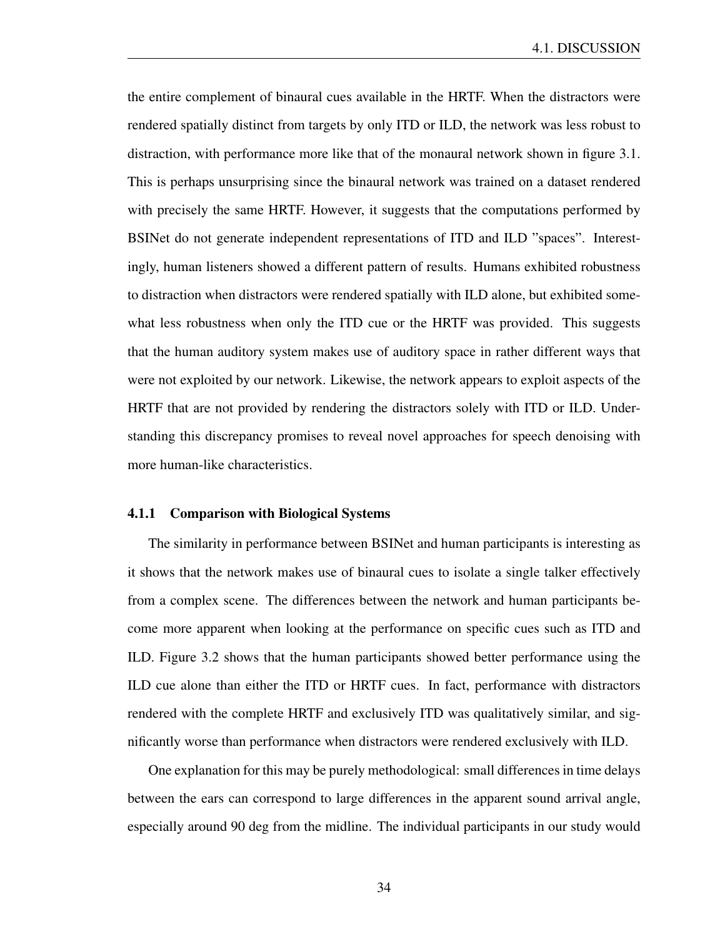the entire complement of binaural cues available in the HRTF. When the distractors were rendered spatially distinct from targets by only ITD or ILD, the network was less robust to distraction, with performance more like that of the monaural network shown in figure 3.1. This is perhaps unsurprising since the binaural network was trained on a dataset rendered with precisely the same HRTF. However, it suggests that the computations performed by BSINet do not generate independent representations of ITD and ILD "spaces". Interestingly, human listeners showed a different pattern of results. Humans exhibited robustness to distraction when distractors were rendered spatially with ILD alone, but exhibited somewhat less robustness when only the ITD cue or the HRTF was provided. This suggests that the human auditory system makes use of auditory space in rather different ways that were not exploited by our network. Likewise, the network appears to exploit aspects of the HRTF that are not provided by rendering the distractors solely with ITD or ILD. Understanding this discrepancy promises to reveal novel approaches for speech denoising with more human-like characteristics.

#### 4.1.1 Comparison with Biological Systems

The similarity in performance between BSINet and human participants is interesting as it shows that the network makes use of binaural cues to isolate a single talker effectively from a complex scene. The differences between the network and human participants become more apparent when looking at the performance on specific cues such as ITD and ILD. Figure 3.2 shows that the human participants showed better performance using the ILD cue alone than either the ITD or HRTF cues. In fact, performance with distractors rendered with the complete HRTF and exclusively ITD was qualitatively similar, and significantly worse than performance when distractors were rendered exclusively with ILD.

One explanation for this may be purely methodological: small differences in time delays between the ears can correspond to large differences in the apparent sound arrival angle, especially around 90 deg from the midline. The individual participants in our study would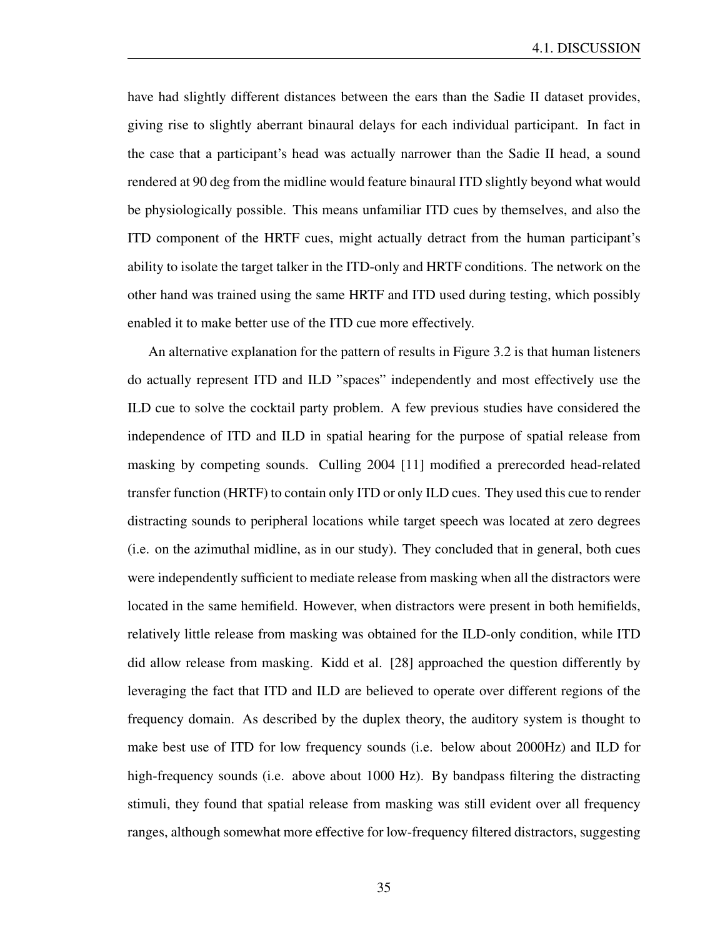have had slightly different distances between the ears than the Sadie II dataset provides, giving rise to slightly aberrant binaural delays for each individual participant. In fact in the case that a participant's head was actually narrower than the Sadie II head, a sound rendered at 90 deg from the midline would feature binaural ITD slightly beyond what would be physiologically possible. This means unfamiliar ITD cues by themselves, and also the ITD component of the HRTF cues, might actually detract from the human participant's ability to isolate the target talker in the ITD-only and HRTF conditions. The network on the other hand was trained using the same HRTF and ITD used during testing, which possibly enabled it to make better use of the ITD cue more effectively.

An alternative explanation for the pattern of results in Figure 3.2 is that human listeners do actually represent ITD and ILD "spaces" independently and most effectively use the ILD cue to solve the cocktail party problem. A few previous studies have considered the independence of ITD and ILD in spatial hearing for the purpose of spatial release from masking by competing sounds. Culling 2004 [11] modified a prerecorded head-related transfer function (HRTF) to contain only ITD or only ILD cues. They used this cue to render distracting sounds to peripheral locations while target speech was located at zero degrees (i.e. on the azimuthal midline, as in our study). They concluded that in general, both cues were independently sufficient to mediate release from masking when all the distractors were located in the same hemifield. However, when distractors were present in both hemifields, relatively little release from masking was obtained for the ILD-only condition, while ITD did allow release from masking. Kidd et al. [28] approached the question differently by leveraging the fact that ITD and ILD are believed to operate over different regions of the frequency domain. As described by the duplex theory, the auditory system is thought to make best use of ITD for low frequency sounds (i.e. below about 2000Hz) and ILD for high-frequency sounds (i.e. above about 1000 Hz). By bandpass filtering the distracting stimuli, they found that spatial release from masking was still evident over all frequency ranges, although somewhat more effective for low-frequency filtered distractors, suggesting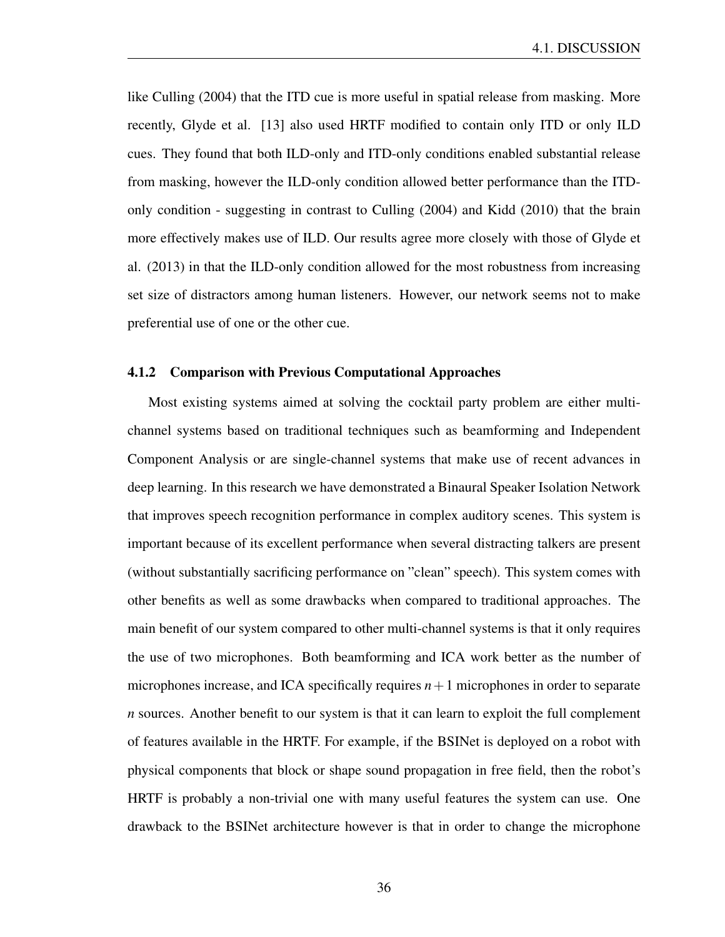like Culling (2004) that the ITD cue is more useful in spatial release from masking. More recently, Glyde et al. [13] also used HRTF modified to contain only ITD or only ILD cues. They found that both ILD-only and ITD-only conditions enabled substantial release from masking, however the ILD-only condition allowed better performance than the ITDonly condition - suggesting in contrast to Culling (2004) and Kidd (2010) that the brain more effectively makes use of ILD. Our results agree more closely with those of Glyde et al. (2013) in that the ILD-only condition allowed for the most robustness from increasing set size of distractors among human listeners. However, our network seems not to make preferential use of one or the other cue.

#### 4.1.2 Comparison with Previous Computational Approaches

Most existing systems aimed at solving the cocktail party problem are either multichannel systems based on traditional techniques such as beamforming and Independent Component Analysis or are single-channel systems that make use of recent advances in deep learning. In this research we have demonstrated a Binaural Speaker Isolation Network that improves speech recognition performance in complex auditory scenes. This system is important because of its excellent performance when several distracting talkers are present (without substantially sacrificing performance on "clean" speech). This system comes with other benefits as well as some drawbacks when compared to traditional approaches. The main benefit of our system compared to other multi-channel systems is that it only requires the use of two microphones. Both beamforming and ICA work better as the number of microphones increase, and ICA specifically requires *n*+1 microphones in order to separate *n* sources. Another benefit to our system is that it can learn to exploit the full complement of features available in the HRTF. For example, if the BSINet is deployed on a robot with physical components that block or shape sound propagation in free field, then the robot's HRTF is probably a non-trivial one with many useful features the system can use. One drawback to the BSINet architecture however is that in order to change the microphone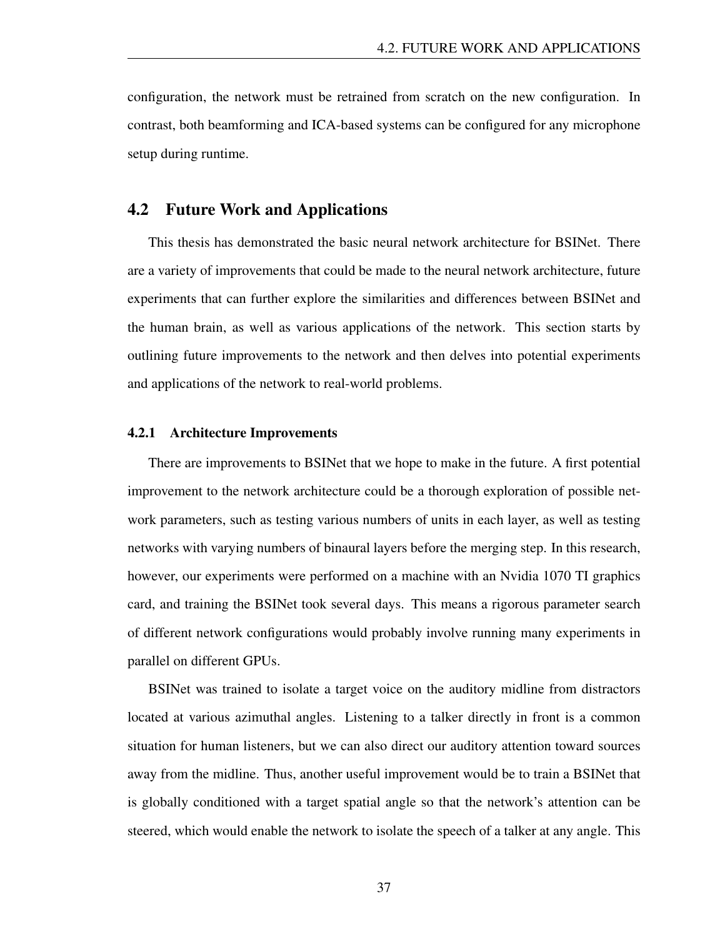configuration, the network must be retrained from scratch on the new configuration. In contrast, both beamforming and ICA-based systems can be configured for any microphone setup during runtime.

### 4.2 Future Work and Applications

This thesis has demonstrated the basic neural network architecture for BSINet. There are a variety of improvements that could be made to the neural network architecture, future experiments that can further explore the similarities and differences between BSINet and the human brain, as well as various applications of the network. This section starts by outlining future improvements to the network and then delves into potential experiments and applications of the network to real-world problems.

#### 4.2.1 Architecture Improvements

There are improvements to BSINet that we hope to make in the future. A first potential improvement to the network architecture could be a thorough exploration of possible network parameters, such as testing various numbers of units in each layer, as well as testing networks with varying numbers of binaural layers before the merging step. In this research, however, our experiments were performed on a machine with an Nvidia 1070 TI graphics card, and training the BSINet took several days. This means a rigorous parameter search of different network configurations would probably involve running many experiments in parallel on different GPUs.

BSINet was trained to isolate a target voice on the auditory midline from distractors located at various azimuthal angles. Listening to a talker directly in front is a common situation for human listeners, but we can also direct our auditory attention toward sources away from the midline. Thus, another useful improvement would be to train a BSINet that is globally conditioned with a target spatial angle so that the network's attention can be steered, which would enable the network to isolate the speech of a talker at any angle. This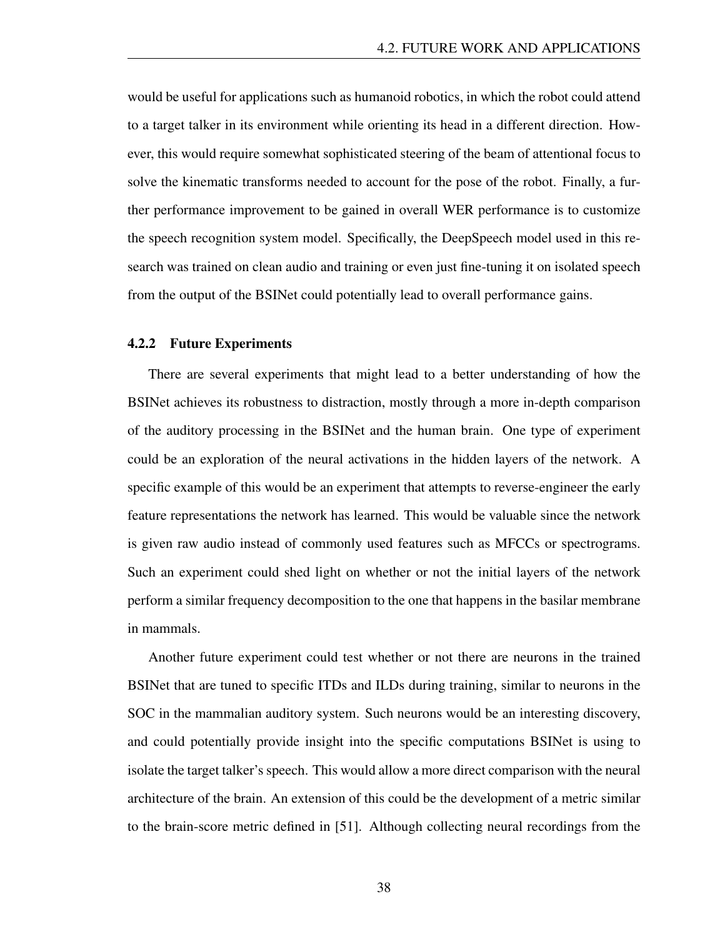would be useful for applications such as humanoid robotics, in which the robot could attend to a target talker in its environment while orienting its head in a different direction. However, this would require somewhat sophisticated steering of the beam of attentional focus to solve the kinematic transforms needed to account for the pose of the robot. Finally, a further performance improvement to be gained in overall WER performance is to customize the speech recognition system model. Specifically, the DeepSpeech model used in this research was trained on clean audio and training or even just fine-tuning it on isolated speech from the output of the BSINet could potentially lead to overall performance gains.

#### 4.2.2 Future Experiments

There are several experiments that might lead to a better understanding of how the BSINet achieves its robustness to distraction, mostly through a more in-depth comparison of the auditory processing in the BSINet and the human brain. One type of experiment could be an exploration of the neural activations in the hidden layers of the network. A specific example of this would be an experiment that attempts to reverse-engineer the early feature representations the network has learned. This would be valuable since the network is given raw audio instead of commonly used features such as MFCCs or spectrograms. Such an experiment could shed light on whether or not the initial layers of the network perform a similar frequency decomposition to the one that happens in the basilar membrane in mammals.

Another future experiment could test whether or not there are neurons in the trained BSINet that are tuned to specific ITDs and ILDs during training, similar to neurons in the SOC in the mammalian auditory system. Such neurons would be an interesting discovery, and could potentially provide insight into the specific computations BSINet is using to isolate the target talker's speech. This would allow a more direct comparison with the neural architecture of the brain. An extension of this could be the development of a metric similar to the brain-score metric defined in [51]. Although collecting neural recordings from the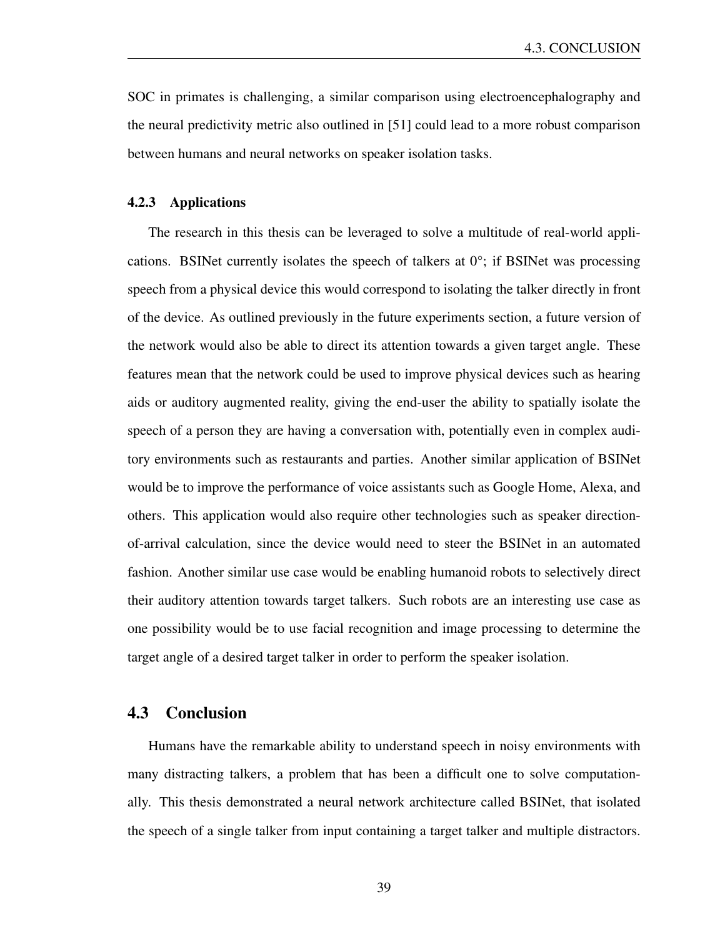SOC in primates is challenging, a similar comparison using electroencephalography and the neural predictivity metric also outlined in [51] could lead to a more robust comparison between humans and neural networks on speaker isolation tasks.

#### 4.2.3 Applications

The research in this thesis can be leveraged to solve a multitude of real-world applications. BSINet currently isolates the speech of talkers at  $0^\circ$ ; if BSINet was processing speech from a physical device this would correspond to isolating the talker directly in front of the device. As outlined previously in the future experiments section, a future version of the network would also be able to direct its attention towards a given target angle. These features mean that the network could be used to improve physical devices such as hearing aids or auditory augmented reality, giving the end-user the ability to spatially isolate the speech of a person they are having a conversation with, potentially even in complex auditory environments such as restaurants and parties. Another similar application of BSINet would be to improve the performance of voice assistants such as Google Home, Alexa, and others. This application would also require other technologies such as speaker directionof-arrival calculation, since the device would need to steer the BSINet in an automated fashion. Another similar use case would be enabling humanoid robots to selectively direct their auditory attention towards target talkers. Such robots are an interesting use case as one possibility would be to use facial recognition and image processing to determine the target angle of a desired target talker in order to perform the speaker isolation.

### 4.3 Conclusion

Humans have the remarkable ability to understand speech in noisy environments with many distracting talkers, a problem that has been a difficult one to solve computationally. This thesis demonstrated a neural network architecture called BSINet, that isolated the speech of a single talker from input containing a target talker and multiple distractors.

39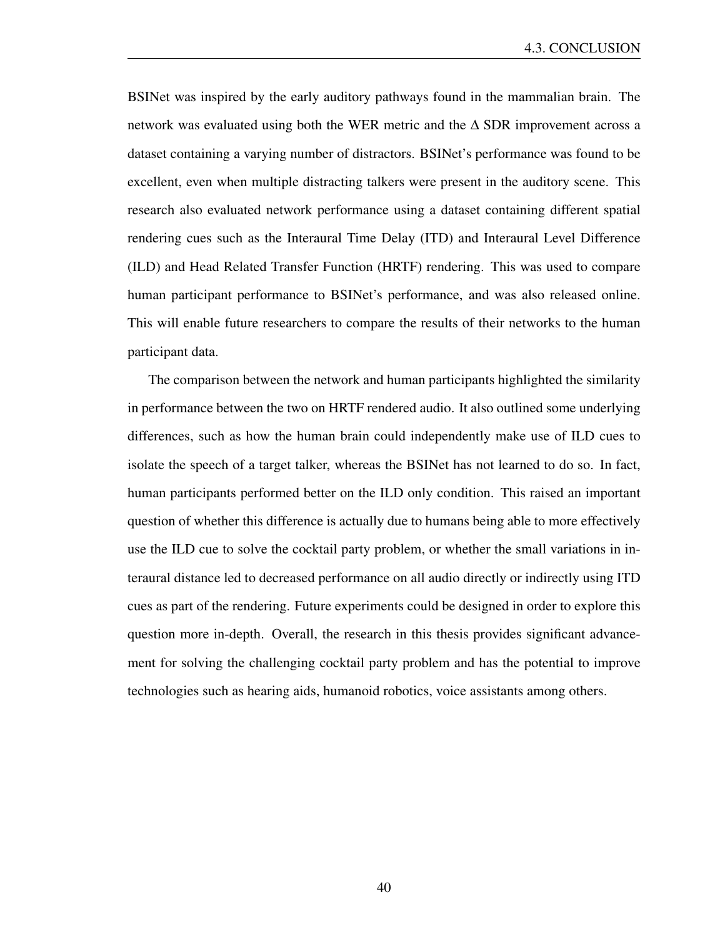BSINet was inspired by the early auditory pathways found in the mammalian brain. The network was evaluated using both the WER metric and the ∆ SDR improvement across a dataset containing a varying number of distractors. BSINet's performance was found to be excellent, even when multiple distracting talkers were present in the auditory scene. This research also evaluated network performance using a dataset containing different spatial rendering cues such as the Interaural Time Delay (ITD) and Interaural Level Difference (ILD) and Head Related Transfer Function (HRTF) rendering. This was used to compare human participant performance to BSINet's performance, and was also released online. This will enable future researchers to compare the results of their networks to the human participant data.

The comparison between the network and human participants highlighted the similarity in performance between the two on HRTF rendered audio. It also outlined some underlying differences, such as how the human brain could independently make use of ILD cues to isolate the speech of a target talker, whereas the BSINet has not learned to do so. In fact, human participants performed better on the ILD only condition. This raised an important question of whether this difference is actually due to humans being able to more effectively use the ILD cue to solve the cocktail party problem, or whether the small variations in interaural distance led to decreased performance on all audio directly or indirectly using ITD cues as part of the rendering. Future experiments could be designed in order to explore this question more in-depth. Overall, the research in this thesis provides significant advancement for solving the challenging cocktail party problem and has the potential to improve technologies such as hearing aids, humanoid robotics, voice assistants among others.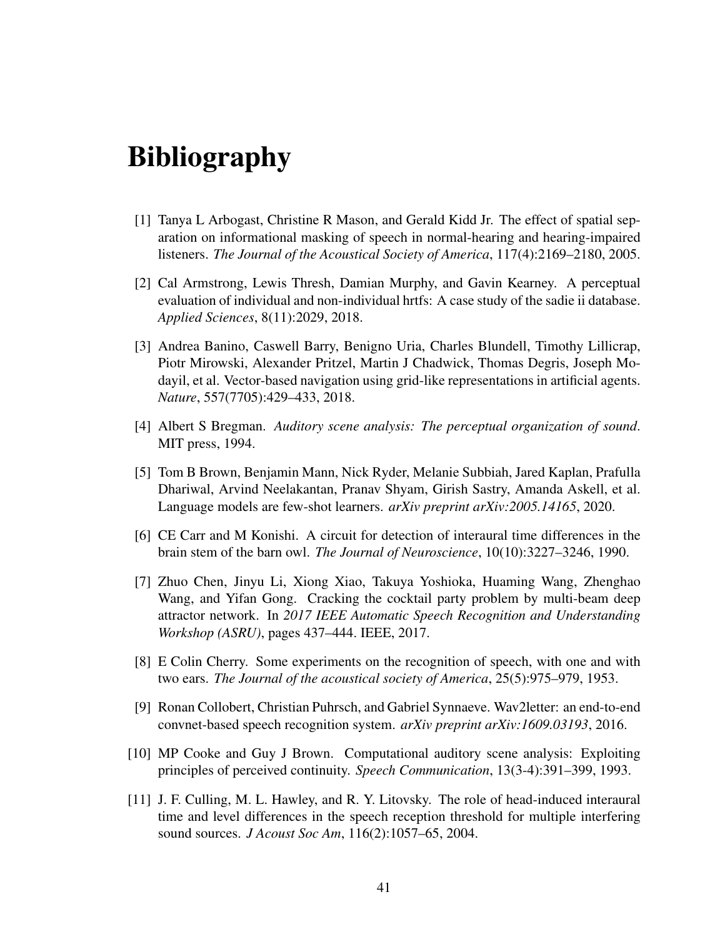## Bibliography

- [1] Tanya L Arbogast, Christine R Mason, and Gerald Kidd Jr. The effect of spatial separation on informational masking of speech in normal-hearing and hearing-impaired listeners. *The Journal of the Acoustical Society of America*, 117(4):2169–2180, 2005.
- [2] Cal Armstrong, Lewis Thresh, Damian Murphy, and Gavin Kearney. A perceptual evaluation of individual and non-individual hrtfs: A case study of the sadie ii database. *Applied Sciences*, 8(11):2029, 2018.
- [3] Andrea Banino, Caswell Barry, Benigno Uria, Charles Blundell, Timothy Lillicrap, Piotr Mirowski, Alexander Pritzel, Martin J Chadwick, Thomas Degris, Joseph Modayil, et al. Vector-based navigation using grid-like representations in artificial agents. *Nature*, 557(7705):429–433, 2018.
- [4] Albert S Bregman. *Auditory scene analysis: The perceptual organization of sound*. MIT press, 1994.
- [5] Tom B Brown, Benjamin Mann, Nick Ryder, Melanie Subbiah, Jared Kaplan, Prafulla Dhariwal, Arvind Neelakantan, Pranav Shyam, Girish Sastry, Amanda Askell, et al. Language models are few-shot learners. *arXiv preprint arXiv:2005.14165*, 2020.
- [6] CE Carr and M Konishi. A circuit for detection of interaural time differences in the brain stem of the barn owl. *The Journal of Neuroscience*, 10(10):3227–3246, 1990.
- [7] Zhuo Chen, Jinyu Li, Xiong Xiao, Takuya Yoshioka, Huaming Wang, Zhenghao Wang, and Yifan Gong. Cracking the cocktail party problem by multi-beam deep attractor network. In *2017 IEEE Automatic Speech Recognition and Understanding Workshop (ASRU)*, pages 437–444. IEEE, 2017.
- [8] E Colin Cherry. Some experiments on the recognition of speech, with one and with two ears. *The Journal of the acoustical society of America*, 25(5):975–979, 1953.
- [9] Ronan Collobert, Christian Puhrsch, and Gabriel Synnaeve. Wav2letter: an end-to-end convnet-based speech recognition system. *arXiv preprint arXiv:1609.03193*, 2016.
- [10] MP Cooke and Guy J Brown. Computational auditory scene analysis: Exploiting principles of perceived continuity. *Speech Communication*, 13(3-4):391–399, 1993.
- [11] J. F. Culling, M. L. Hawley, and R. Y. Litovsky. The role of head-induced interaural time and level differences in the speech reception threshold for multiple interfering sound sources. *J Acoust Soc Am*, 116(2):1057–65, 2004.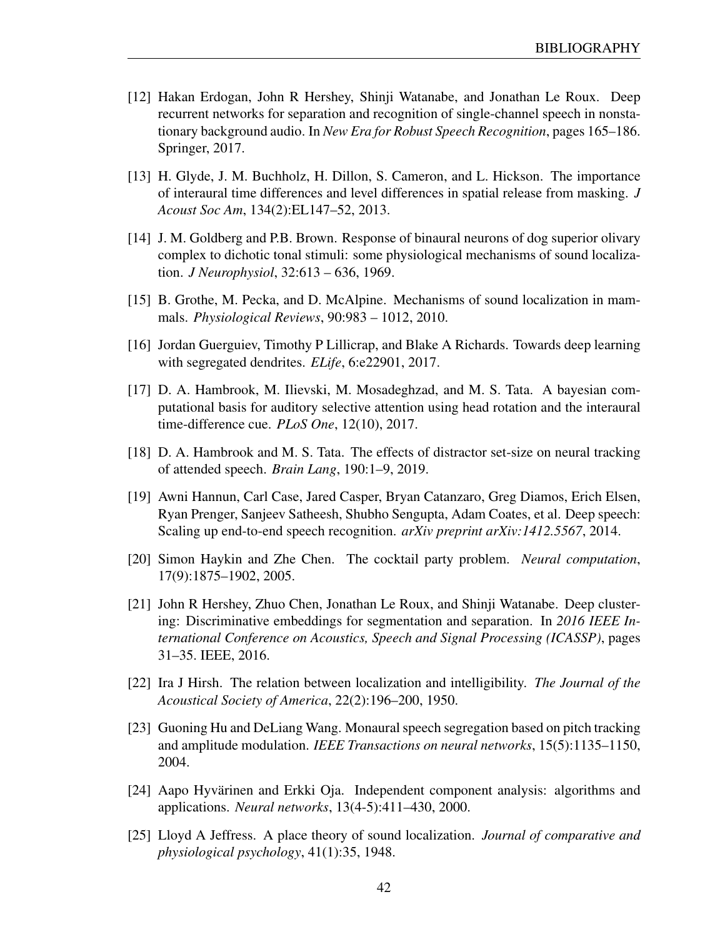- [12] Hakan Erdogan, John R Hershey, Shinji Watanabe, and Jonathan Le Roux. Deep recurrent networks for separation and recognition of single-channel speech in nonstationary background audio. In *New Era for Robust Speech Recognition*, pages 165–186. Springer, 2017.
- [13] H. Glyde, J. M. Buchholz, H. Dillon, S. Cameron, and L. Hickson. The importance of interaural time differences and level differences in spatial release from masking. *J Acoust Soc Am*, 134(2):EL147–52, 2013.
- [14] J. M. Goldberg and P.B. Brown. Response of binaural neurons of dog superior olivary complex to dichotic tonal stimuli: some physiological mechanisms of sound localization. *J Neurophysiol*, 32:613 – 636, 1969.
- [15] B. Grothe, M. Pecka, and D. McAlpine. Mechanisms of sound localization in mammals. *Physiological Reviews*, 90:983 – 1012, 2010.
- [16] Jordan Guerguiev, Timothy P Lillicrap, and Blake A Richards. Towards deep learning with segregated dendrites. *ELife*, 6:e22901, 2017.
- [17] D. A. Hambrook, M. Ilievski, M. Mosadeghzad, and M. S. Tata. A bayesian computational basis for auditory selective attention using head rotation and the interaural time-difference cue. *PLoS One*, 12(10), 2017.
- [18] D. A. Hambrook and M. S. Tata. The effects of distractor set-size on neural tracking of attended speech. *Brain Lang*, 190:1–9, 2019.
- [19] Awni Hannun, Carl Case, Jared Casper, Bryan Catanzaro, Greg Diamos, Erich Elsen, Ryan Prenger, Sanjeev Satheesh, Shubho Sengupta, Adam Coates, et al. Deep speech: Scaling up end-to-end speech recognition. *arXiv preprint arXiv:1412.5567*, 2014.
- [20] Simon Haykin and Zhe Chen. The cocktail party problem. *Neural computation*, 17(9):1875–1902, 2005.
- [21] John R Hershey, Zhuo Chen, Jonathan Le Roux, and Shinji Watanabe. Deep clustering: Discriminative embeddings for segmentation and separation. In *2016 IEEE International Conference on Acoustics, Speech and Signal Processing (ICASSP)*, pages 31–35. IEEE, 2016.
- [22] Ira J Hirsh. The relation between localization and intelligibility. *The Journal of the Acoustical Society of America*, 22(2):196–200, 1950.
- [23] Guoning Hu and DeLiang Wang. Monaural speech segregation based on pitch tracking and amplitude modulation. *IEEE Transactions on neural networks*, 15(5):1135–1150, 2004.
- [24] Aapo Hyvärinen and Erkki Oja. Independent component analysis: algorithms and applications. *Neural networks*, 13(4-5):411–430, 2000.
- [25] Lloyd A Jeffress. A place theory of sound localization. *Journal of comparative and physiological psychology*, 41(1):35, 1948.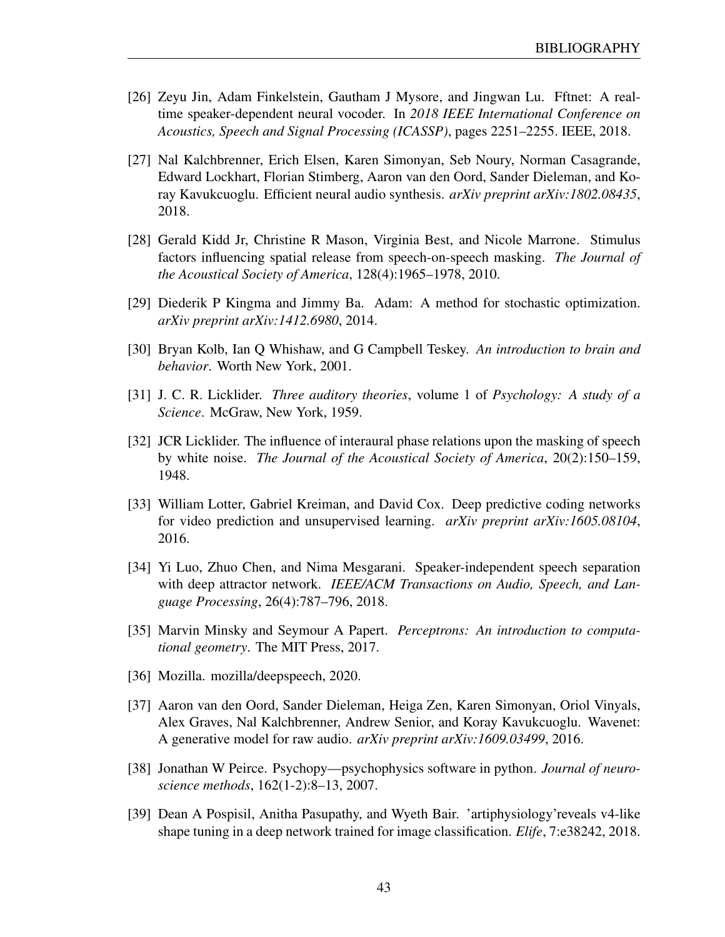- [26] Zeyu Jin, Adam Finkelstein, Gautham J Mysore, and Jingwan Lu. Fftnet: A realtime speaker-dependent neural vocoder. In *2018 IEEE International Conference on Acoustics, Speech and Signal Processing (ICASSP)*, pages 2251–2255. IEEE, 2018.
- [27] Nal Kalchbrenner, Erich Elsen, Karen Simonyan, Seb Noury, Norman Casagrande, Edward Lockhart, Florian Stimberg, Aaron van den Oord, Sander Dieleman, and Koray Kavukcuoglu. Efficient neural audio synthesis. *arXiv preprint arXiv:1802.08435*, 2018.
- [28] Gerald Kidd Jr, Christine R Mason, Virginia Best, and Nicole Marrone. Stimulus factors influencing spatial release from speech-on-speech masking. *The Journal of the Acoustical Society of America*, 128(4):1965–1978, 2010.
- [29] Diederik P Kingma and Jimmy Ba. Adam: A method for stochastic optimization. *arXiv preprint arXiv:1412.6980*, 2014.
- [30] Bryan Kolb, Ian Q Whishaw, and G Campbell Teskey. *An introduction to brain and behavior*. Worth New York, 2001.
- [31] J. C. R. Licklider. *Three auditory theories*, volume 1 of *Psychology: A study of a Science*. McGraw, New York, 1959.
- [32] JCR Licklider. The influence of interaural phase relations upon the masking of speech by white noise. *The Journal of the Acoustical Society of America*, 20(2):150–159, 1948.
- [33] William Lotter, Gabriel Kreiman, and David Cox. Deep predictive coding networks for video prediction and unsupervised learning. *arXiv preprint arXiv:1605.08104*, 2016.
- [34] Yi Luo, Zhuo Chen, and Nima Mesgarani. Speaker-independent speech separation with deep attractor network. *IEEE/ACM Transactions on Audio, Speech, and Language Processing*, 26(4):787–796, 2018.
- [35] Marvin Minsky and Seymour A Papert. *Perceptrons: An introduction to computational geometry*. The MIT Press, 2017.
- [36] Mozilla. mozilla/deepspeech, 2020.
- [37] Aaron van den Oord, Sander Dieleman, Heiga Zen, Karen Simonyan, Oriol Vinyals, Alex Graves, Nal Kalchbrenner, Andrew Senior, and Koray Kavukcuoglu. Wavenet: A generative model for raw audio. *arXiv preprint arXiv:1609.03499*, 2016.
- [38] Jonathan W Peirce. Psychopy—psychophysics software in python. *Journal of neuroscience methods*, 162(1-2):8–13, 2007.
- [39] Dean A Pospisil, Anitha Pasupathy, and Wyeth Bair. 'artiphysiology'reveals v4-like shape tuning in a deep network trained for image classification. *Elife*, 7:e38242, 2018.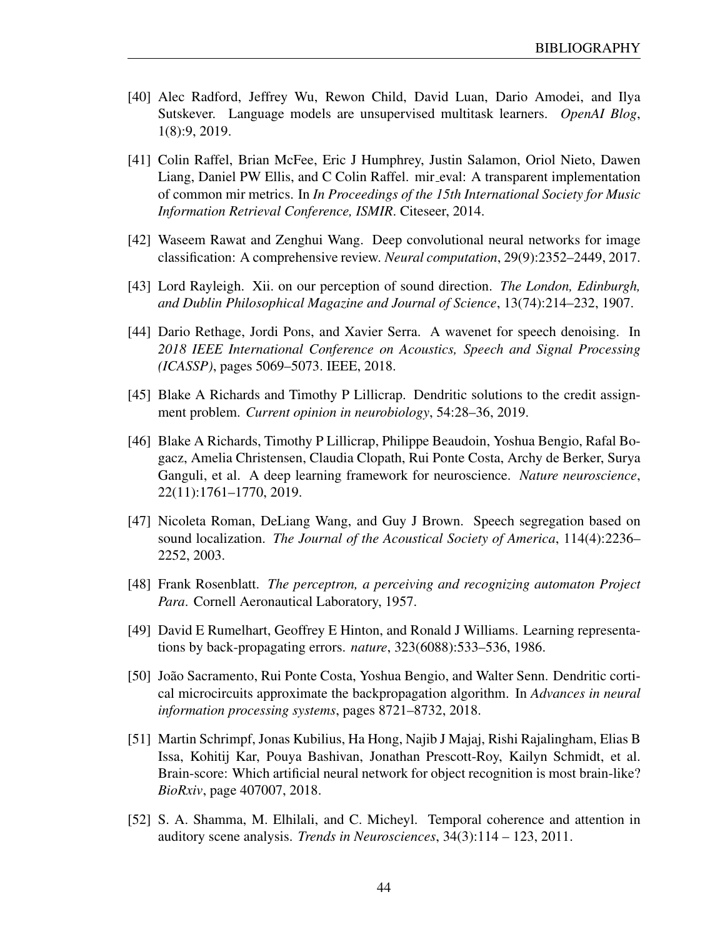- [40] Alec Radford, Jeffrey Wu, Rewon Child, David Luan, Dario Amodei, and Ilya Sutskever. Language models are unsupervised multitask learners. *OpenAI Blog*, 1(8):9, 2019.
- [41] Colin Raffel, Brian McFee, Eric J Humphrey, Justin Salamon, Oriol Nieto, Dawen Liang, Daniel PW Ellis, and C Colin Raffel. mir eval: A transparent implementation of common mir metrics. In *In Proceedings of the 15th International Society for Music Information Retrieval Conference, ISMIR*. Citeseer, 2014.
- [42] Waseem Rawat and Zenghui Wang. Deep convolutional neural networks for image classification: A comprehensive review. *Neural computation*, 29(9):2352–2449, 2017.
- [43] Lord Rayleigh. Xii. on our perception of sound direction. *The London, Edinburgh, and Dublin Philosophical Magazine and Journal of Science*, 13(74):214–232, 1907.
- [44] Dario Rethage, Jordi Pons, and Xavier Serra. A wavenet for speech denoising. In *2018 IEEE International Conference on Acoustics, Speech and Signal Processing (ICASSP)*, pages 5069–5073. IEEE, 2018.
- [45] Blake A Richards and Timothy P Lillicrap. Dendritic solutions to the credit assignment problem. *Current opinion in neurobiology*, 54:28–36, 2019.
- [46] Blake A Richards, Timothy P Lillicrap, Philippe Beaudoin, Yoshua Bengio, Rafal Bogacz, Amelia Christensen, Claudia Clopath, Rui Ponte Costa, Archy de Berker, Surya Ganguli, et al. A deep learning framework for neuroscience. *Nature neuroscience*, 22(11):1761–1770, 2019.
- [47] Nicoleta Roman, DeLiang Wang, and Guy J Brown. Speech segregation based on sound localization. *The Journal of the Acoustical Society of America*, 114(4):2236– 2252, 2003.
- [48] Frank Rosenblatt. *The perceptron, a perceiving and recognizing automaton Project Para*. Cornell Aeronautical Laboratory, 1957.
- [49] David E Rumelhart, Geoffrey E Hinton, and Ronald J Williams. Learning representations by back-propagating errors. *nature*, 323(6088):533–536, 1986.
- [50] João Sacramento, Rui Ponte Costa, Yoshua Bengio, and Walter Senn. Dendritic cortical microcircuits approximate the backpropagation algorithm. In *Advances in neural information processing systems*, pages 8721–8732, 2018.
- [51] Martin Schrimpf, Jonas Kubilius, Ha Hong, Najib J Majaj, Rishi Rajalingham, Elias B Issa, Kohitij Kar, Pouya Bashivan, Jonathan Prescott-Roy, Kailyn Schmidt, et al. Brain-score: Which artificial neural network for object recognition is most brain-like? *BioRxiv*, page 407007, 2018.
- [52] S. A. Shamma, M. Elhilali, and C. Micheyl. Temporal coherence and attention in auditory scene analysis. *Trends in Neurosciences*, 34(3):114 – 123, 2011.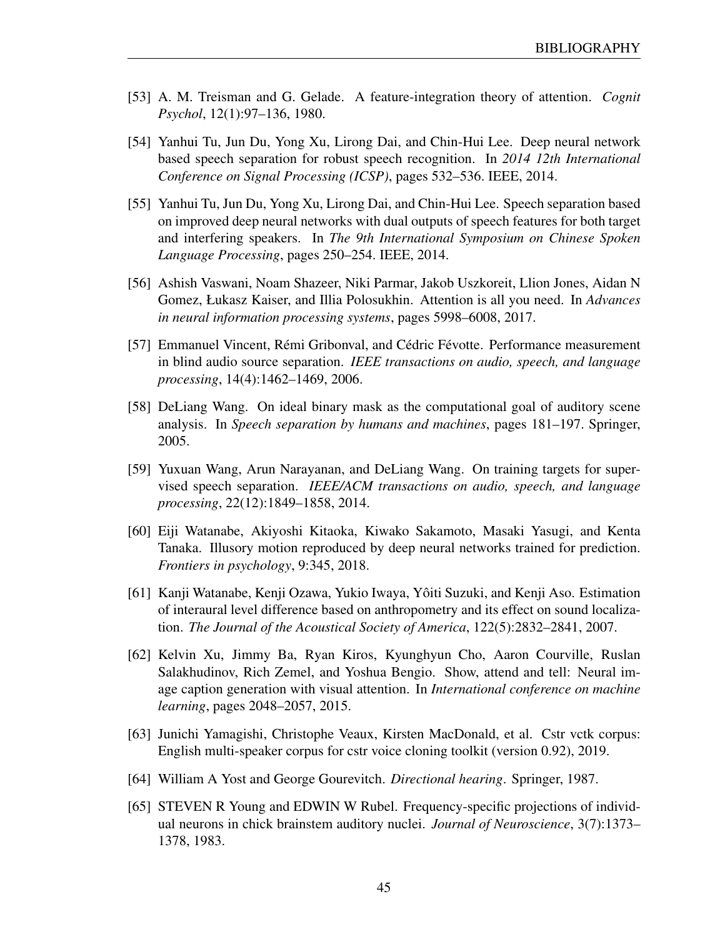- [53] A. M. Treisman and G. Gelade. A feature-integration theory of attention. *Cognit Psychol*, 12(1):97–136, 1980.
- [54] Yanhui Tu, Jun Du, Yong Xu, Lirong Dai, and Chin-Hui Lee. Deep neural network based speech separation for robust speech recognition. In *2014 12th International Conference on Signal Processing (ICSP)*, pages 532–536. IEEE, 2014.
- [55] Yanhui Tu, Jun Du, Yong Xu, Lirong Dai, and Chin-Hui Lee. Speech separation based on improved deep neural networks with dual outputs of speech features for both target and interfering speakers. In *The 9th International Symposium on Chinese Spoken Language Processing*, pages 250–254. IEEE, 2014.
- [56] Ashish Vaswani, Noam Shazeer, Niki Parmar, Jakob Uszkoreit, Llion Jones, Aidan N Gomez, Łukasz Kaiser, and Illia Polosukhin. Attention is all you need. In *Advances in neural information processing systems*, pages 5998–6008, 2017.
- [57] Emmanuel Vincent, Rémi Gribonval, and Cédric Févotte. Performance measurement in blind audio source separation. *IEEE transactions on audio, speech, and language processing*, 14(4):1462–1469, 2006.
- [58] DeLiang Wang. On ideal binary mask as the computational goal of auditory scene analysis. In *Speech separation by humans and machines*, pages 181–197. Springer, 2005.
- [59] Yuxuan Wang, Arun Narayanan, and DeLiang Wang. On training targets for supervised speech separation. *IEEE/ACM transactions on audio, speech, and language processing*, 22(12):1849–1858, 2014.
- [60] Eiji Watanabe, Akiyoshi Kitaoka, Kiwako Sakamoto, Masaki Yasugi, and Kenta Tanaka. Illusory motion reproduced by deep neural networks trained for prediction. *Frontiers in psychology*, 9:345, 2018.
- [61] Kanji Watanabe, Kenji Ozawa, Yukio Iwaya, Yoiti Suzuki, and Kenji Aso. Estimation ˆ of interaural level difference based on anthropometry and its effect on sound localization. *The Journal of the Acoustical Society of America*, 122(5):2832–2841, 2007.
- [62] Kelvin Xu, Jimmy Ba, Ryan Kiros, Kyunghyun Cho, Aaron Courville, Ruslan Salakhudinov, Rich Zemel, and Yoshua Bengio. Show, attend and tell: Neural image caption generation with visual attention. In *International conference on machine learning*, pages 2048–2057, 2015.
- [63] Junichi Yamagishi, Christophe Veaux, Kirsten MacDonald, et al. Cstr vctk corpus: English multi-speaker corpus for cstr voice cloning toolkit (version 0.92), 2019.
- [64] William A Yost and George Gourevitch. *Directional hearing*. Springer, 1987.
- [65] STEVEN R Young and EDWIN W Rubel. Frequency-specific projections of individual neurons in chick brainstem auditory nuclei. *Journal of Neuroscience*, 3(7):1373– 1378, 1983.